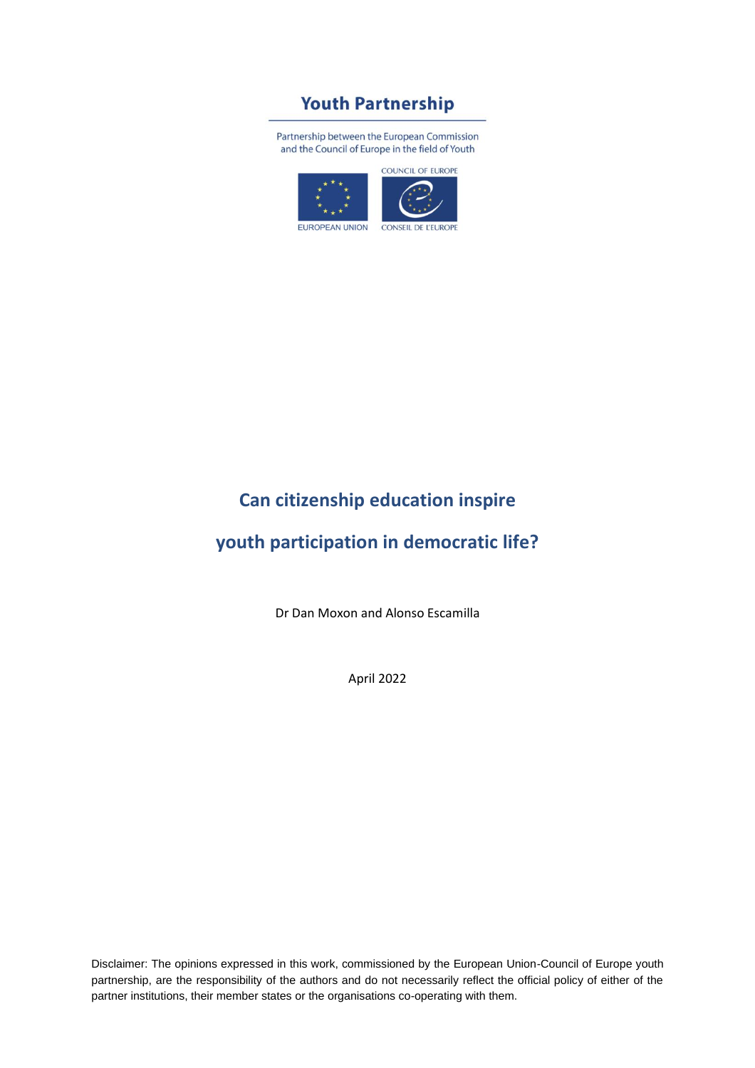# **Youth Partnership**

Partnership between the European Commission and the Council of Europe in the field of Youth



# **Can citizenship education inspire**

# **youth participation in democratic life?**

Dr Dan Moxon and Alonso Escamilla

April 2022

Disclaimer: The opinions expressed in this work, commissioned by the European Union-Council of Europe youth partnership, are the responsibility of the authors and do not necessarily reflect the official policy of either of the partner institutions, their member states or the organisations co-operating with them.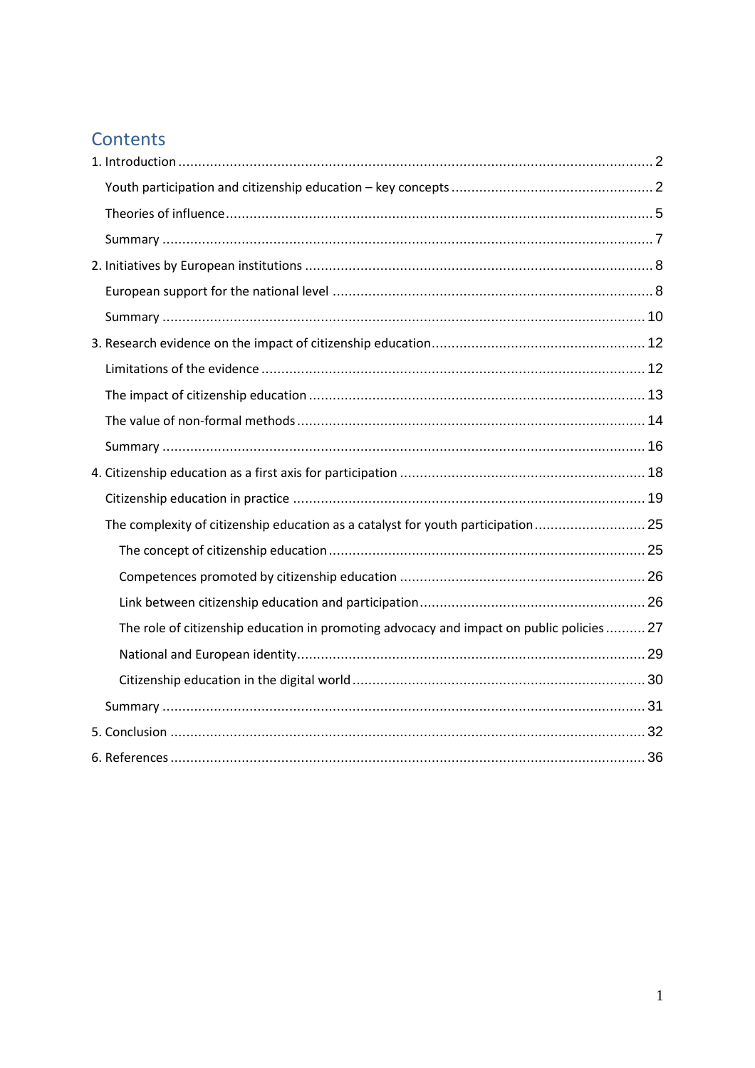# Contents

| The complexity of citizenship education as a catalyst for youth participation 25          |  |
|-------------------------------------------------------------------------------------------|--|
|                                                                                           |  |
|                                                                                           |  |
|                                                                                           |  |
| The role of citizenship education in promoting advocacy and impact on public policies  27 |  |
|                                                                                           |  |
|                                                                                           |  |
|                                                                                           |  |
|                                                                                           |  |
|                                                                                           |  |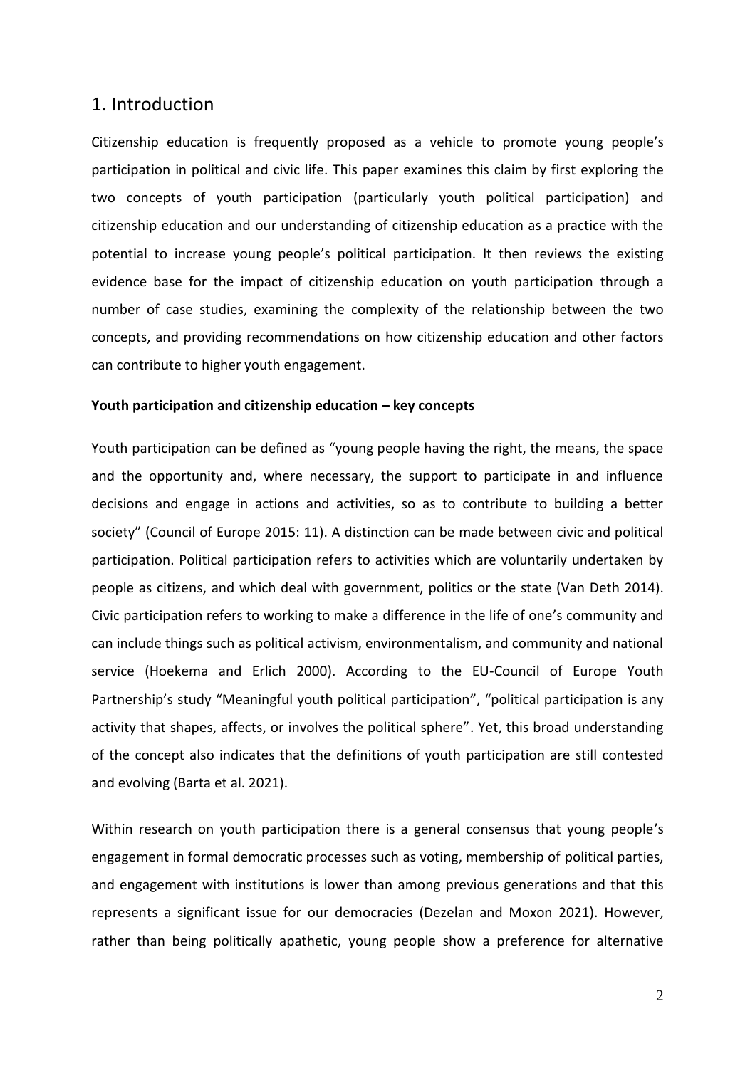## <span id="page-2-0"></span>1. Introduction

Citizenship education is frequently proposed as a vehicle to promote young people's participation in political and civic life. This paper examines this claim by first exploring the two concepts of youth participation (particularly youth political participation) and citizenship education and our understanding of citizenship education as a practice with the potential to increase young people's political participation. It then reviews the existing evidence base for the impact of citizenship education on youth participation through a number of case studies, examining the complexity of the relationship between the two concepts, and providing recommendations on how citizenship education and other factors can contribute to higher youth engagement.

#### <span id="page-2-1"></span>**Youth participation and citizenship education – key concepts**

Youth participation can be defined as "young people having the right, the means, the space and the opportunity and, where necessary, the support to participate in and influence decisions and engage in actions and activities, so as to contribute to building a better society" (Council of Europe 2015: 11). A distinction can be made between civic and political participation. Political participation refers to activities which are voluntarily undertaken by people as citizens, and which deal with government, politics or the state (Van Deth 2014). Civic participation refers to working to make a difference in the life of one's community and can include things such as political activism, environmentalism, and community and national service (Hoekema and Erlich 2000). According to the EU-Council of Europe Youth Partnership's study "Meaningful youth political participation", "political participation is any activity that shapes, affects, or involves the political sphere". Yet, this broad understanding of the concept also indicates that the definitions of youth participation are still contested and evolving (Barta et al. 2021).

Within research on youth participation there is a general consensus that young people's engagement in formal democratic processes such as voting, membership of political parties, and engagement with institutions is lower than among previous generations and that this represents a significant issue for our democracies (Dezelan and Moxon 2021). However, rather than being politically apathetic, young people show a preference for alternative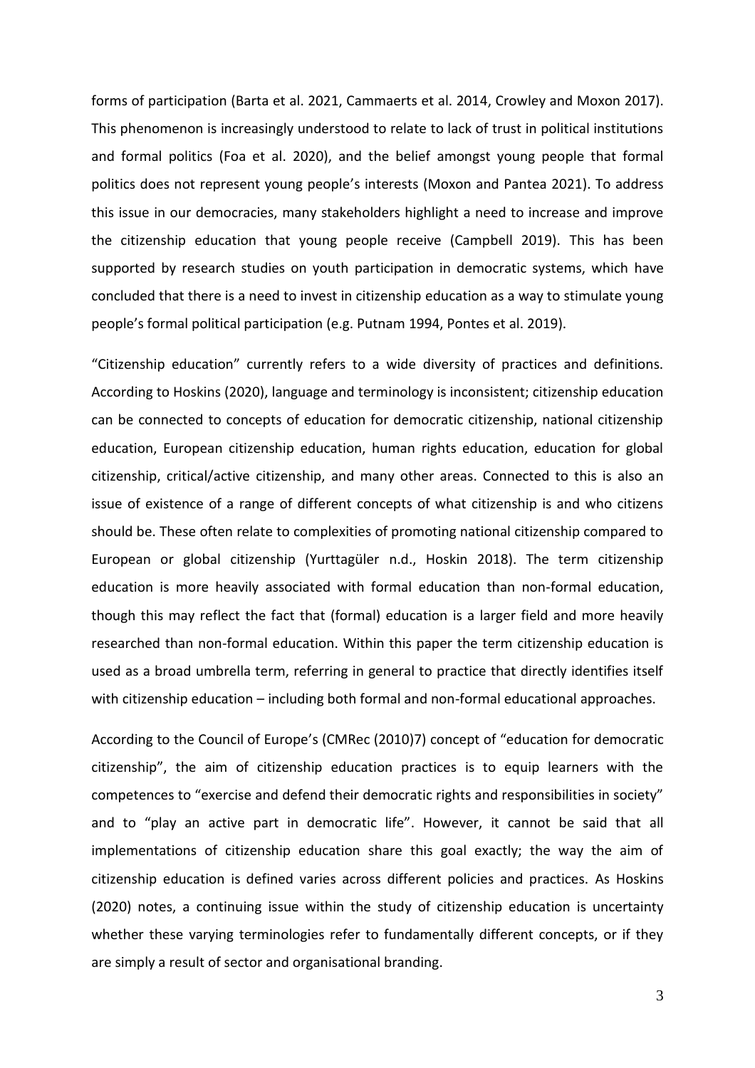forms of participation (Barta et al. 2021, Cammaerts et al. 2014, Crowley and Moxon 2017). This phenomenon is increasingly understood to relate to lack of trust in political institutions and formal politics (Foa et al. 2020), and the belief amongst young people that formal politics does not represent young people's interests (Moxon and Pantea 2021). To address this issue in our democracies, many stakeholders highlight a need to increase and improve the citizenship education that young people receive (Campbell 2019). This has been supported by research studies on youth participation in democratic systems, which have concluded that there is a need to invest in citizenship education as a way to stimulate young people's formal political participation (e.g. Putnam 1994, Pontes et al. 2019).

"Citizenship education" currently refers to a wide diversity of practices and definitions. According to Hoskins (2020), language and terminology is inconsistent; citizenship education can be connected to concepts of education for democratic citizenship, national citizenship education, European citizenship education, human rights education, education for global citizenship, critical/active citizenship, and many other areas. Connected to this is also an issue of existence of a range of different concepts of what citizenship is and who citizens should be. These often relate to complexities of promoting national citizenship compared to European or global citizenship (Yurttagüler n.d., Hoskin 2018). The term citizenship education is more heavily associated with formal education than non-formal education, though this may reflect the fact that (formal) education is a larger field and more heavily researched than non-formal education. Within this paper the term citizenship education is used as a broad umbrella term, referring in general to practice that directly identifies itself with citizenship education – including both formal and non-formal educational approaches.

According to the Council of Europe's (CMRec (2010)7) concept of "education for democratic citizenship", the aim of citizenship education practices is to equip learners with the competences to "exercise and defend their democratic rights and responsibilities in society" and to "play an active part in democratic life". However, it cannot be said that all implementations of citizenship education share this goal exactly; the way the aim of citizenship education is defined varies across different policies and practices. As Hoskins (2020) notes, a continuing issue within the study of citizenship education is uncertainty whether these varying terminologies refer to fundamentally different concepts, or if they are simply a result of sector and organisational branding.

3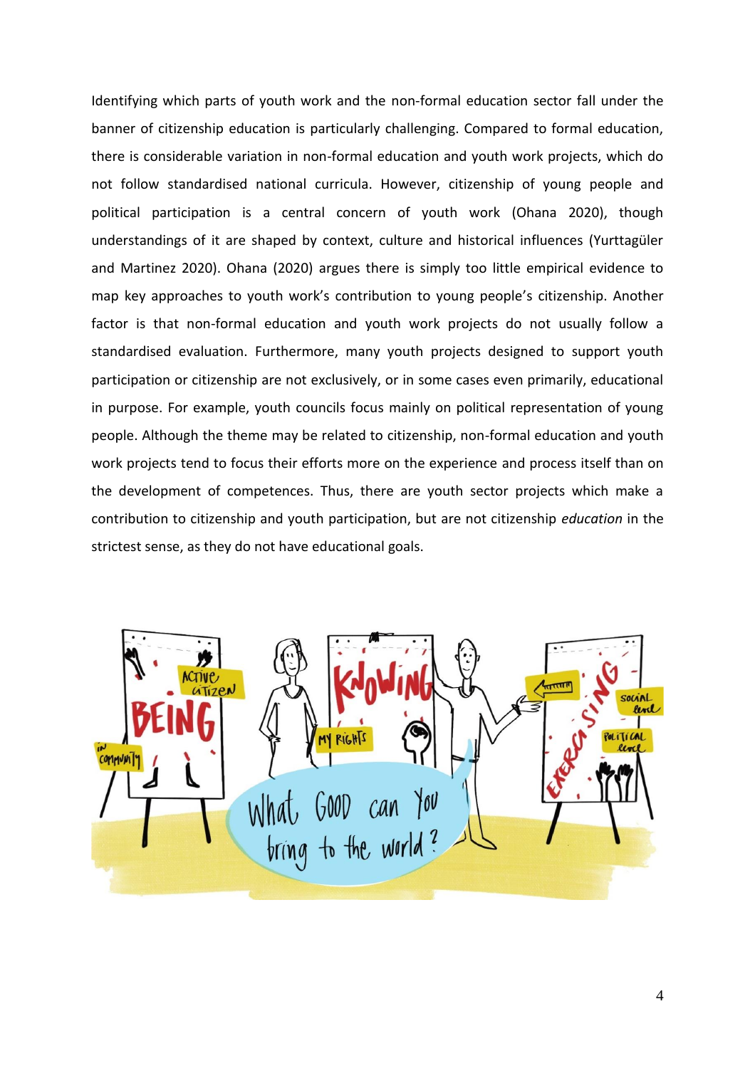Identifying which parts of youth work and the non-formal education sector fall under the banner of citizenship education is particularly challenging. Compared to formal education, there is considerable variation in non-formal education and youth work projects, which do not follow standardised national curricula. However, citizenship of young people and political participation is a central concern of youth work (Ohana 2020), though understandings of it are shaped by context, culture and historical influences (Yurttagüler and Martinez 2020). Ohana (2020) argues there is simply too little empirical evidence to map key approaches to youth work's contribution to young people's citizenship. Another factor is that non-formal education and youth work projects do not usually follow a standardised evaluation. Furthermore, many youth projects designed to support youth participation or citizenship are not exclusively, or in some cases even primarily, educational in purpose. For example, youth councils focus mainly on political representation of young people. Although the theme may be related to citizenship, non-formal education and youth work projects tend to focus their efforts more on the experience and process itself than on the development of competences. Thus, there are youth sector projects which make a contribution to citizenship and youth participation, but are not citizenship *education* in the strictest sense, as they do not have educational goals.

<span id="page-4-0"></span>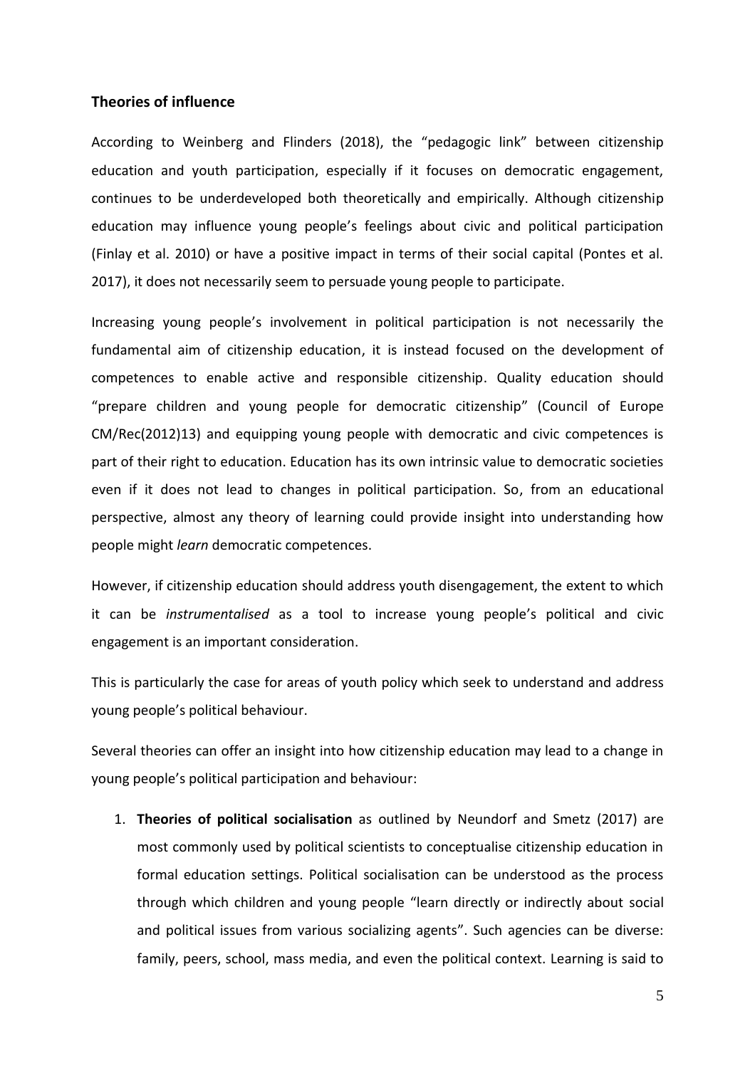## **Theories of influence**

According to Weinberg and Flinders (2018), the "pedagogic link" between citizenship education and youth participation, especially if it focuses on democratic engagement, continues to be underdeveloped both theoretically and empirically. Although citizenship education may influence young people's feelings about civic and political participation (Finlay et al. 2010) or have a positive impact in terms of their social capital (Pontes et al. 2017), it does not necessarily seem to persuade young people to participate.

Increasing young people's involvement in political participation is not necessarily the fundamental aim of citizenship education, it is instead focused on the development of competences to enable active and responsible citizenship. Quality education should "prepare children and young people for democratic citizenship" (Council of Europe CM/Rec(2012)13) and equipping young people with democratic and civic competences is part of their right to education. Education has its own intrinsic value to democratic societies even if it does not lead to changes in political participation. So, from an educational perspective, almost any theory of learning could provide insight into understanding how people might *learn* democratic competences.

However, if citizenship education should address youth disengagement, the extent to which it can be *instrumentalised* as a tool to increase young people's political and civic engagement is an important consideration.

This is particularly the case for areas of youth policy which seek to understand and address young people's political behaviour.

Several theories can offer an insight into how citizenship education may lead to a change in young people's political participation and behaviour:

1. **Theories of political socialisation** as outlined by Neundorf and Smetz (2017) are most commonly used by political scientists to conceptualise citizenship education in formal education settings. Political socialisation can be understood as the process through which children and young people "learn directly or indirectly about social and political issues from various socializing agents". Such agencies can be diverse: family, peers, school, mass media, and even the political context. Learning is said to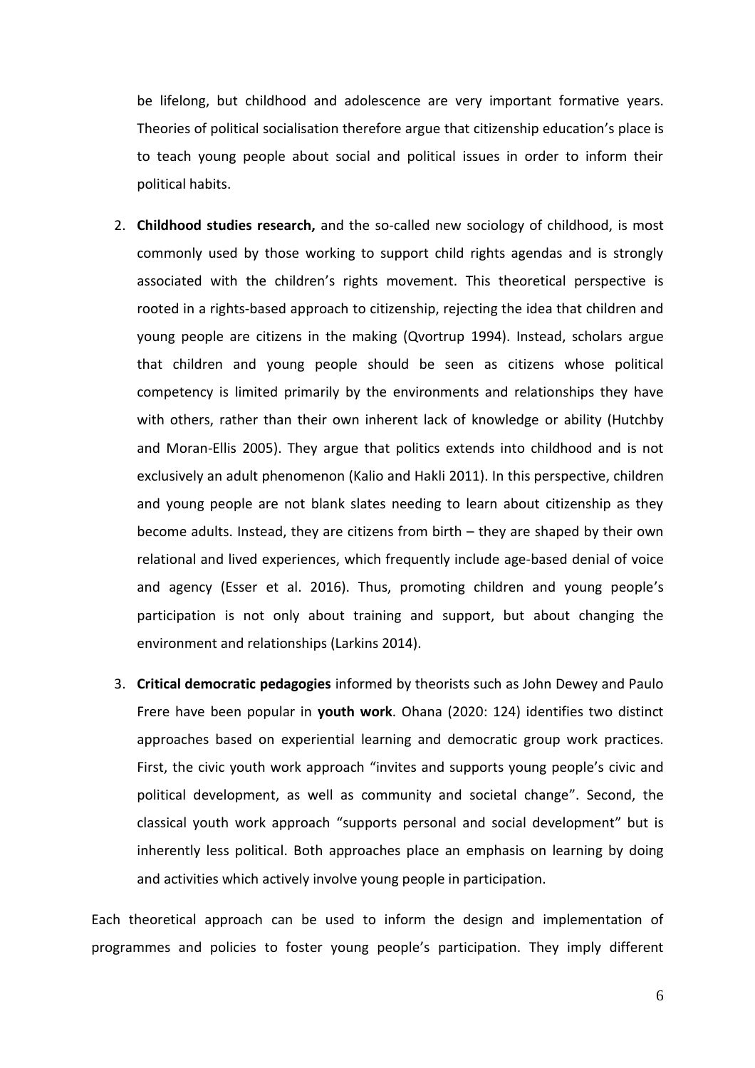be lifelong, but childhood and adolescence are very important formative years. Theories of political socialisation therefore argue that citizenship education's place is to teach young people about social and political issues in order to inform their political habits.

- 2. **Childhood studies research,** and the so-called new sociology of childhood, is most commonly used by those working to support child rights agendas and is strongly associated with the children's rights movement. This theoretical perspective is rooted in a rights-based approach to citizenship, rejecting the idea that children and young people are citizens in the making (Qvortrup 1994). Instead, scholars argue that children and young people should be seen as citizens whose political competency is limited primarily by the environments and relationships they have with others, rather than their own inherent lack of knowledge or ability (Hutchby and Moran-Ellis 2005). They argue that politics extends into childhood and is not exclusively an adult phenomenon (Kalio and Hakli 2011). In this perspective, children and young people are not blank slates needing to learn about citizenship as they become adults. Instead, they are citizens from birth – they are shaped by their own relational and lived experiences, which frequently include age-based denial of voice and agency (Esser et al. 2016). Thus, promoting children and young people's participation is not only about training and support, but about changing the environment and relationships (Larkins 2014).
- 3. **Critical democratic pedagogies** informed by theorists such as John Dewey and Paulo Frere have been popular in **youth work**. Ohana (2020: 124) identifies two distinct approaches based on experiential learning and democratic group work practices. First, the civic youth work approach "invites and supports young people's civic and political development, as well as community and societal change". Second, the classical youth work approach "supports personal and social development" but is inherently less political. Both approaches place an emphasis on learning by doing and activities which actively involve young people in participation.

Each theoretical approach can be used to inform the design and implementation of programmes and policies to foster young people's participation. They imply different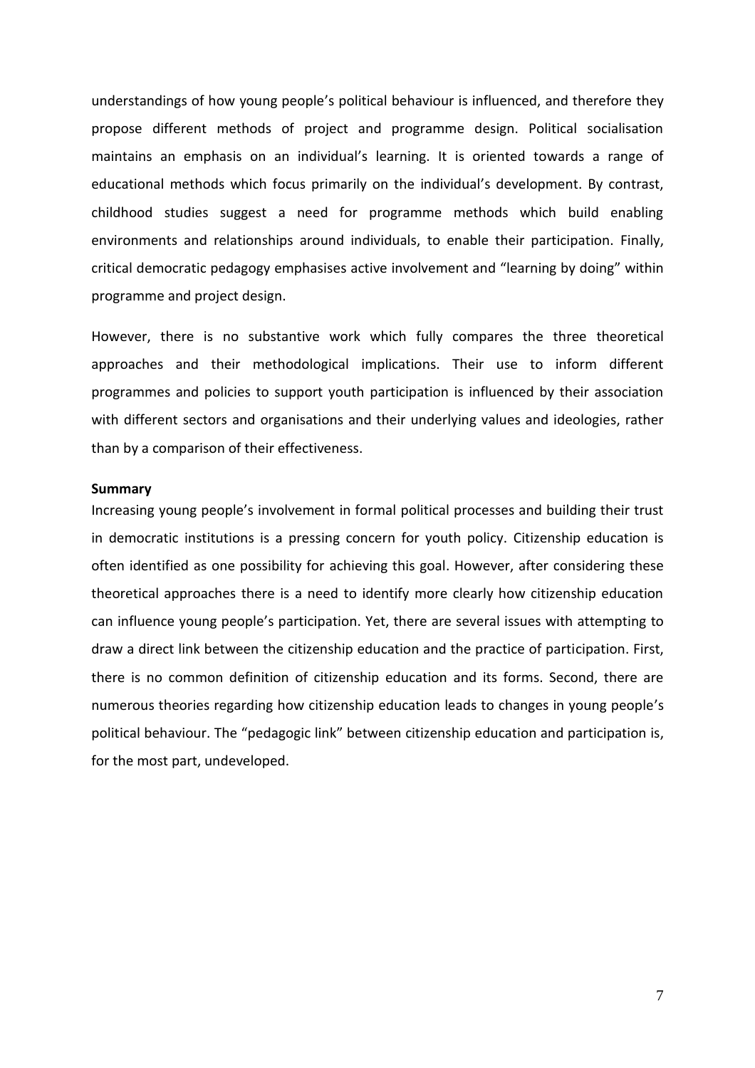understandings of how young people's political behaviour is influenced, and therefore they propose different methods of project and programme design. Political socialisation maintains an emphasis on an individual's learning. It is oriented towards a range of educational methods which focus primarily on the individual's development. By contrast, childhood studies suggest a need for programme methods which build enabling environments and relationships around individuals, to enable their participation. Finally, critical democratic pedagogy emphasises active involvement and "learning by doing" within programme and project design.

However, there is no substantive work which fully compares the three theoretical approaches and their methodological implications. Their use to inform different programmes and policies to support youth participation is influenced by their association with different sectors and organisations and their underlying values and ideologies, rather than by a comparison of their effectiveness.

#### <span id="page-7-0"></span>**Summary**

Increasing young people's involvement in formal political processes and building their trust in democratic institutions is a pressing concern for youth policy. Citizenship education is often identified as one possibility for achieving this goal. However, after considering these theoretical approaches there is a need to identify more clearly how citizenship education can influence young people's participation. Yet, there are several issues with attempting to draw a direct link between the citizenship education and the practice of participation. First, there is no common definition of citizenship education and its forms. Second, there are numerous theories regarding how citizenship education leads to changes in young people's political behaviour. The "pedagogic link" between citizenship education and participation is, for the most part, undeveloped.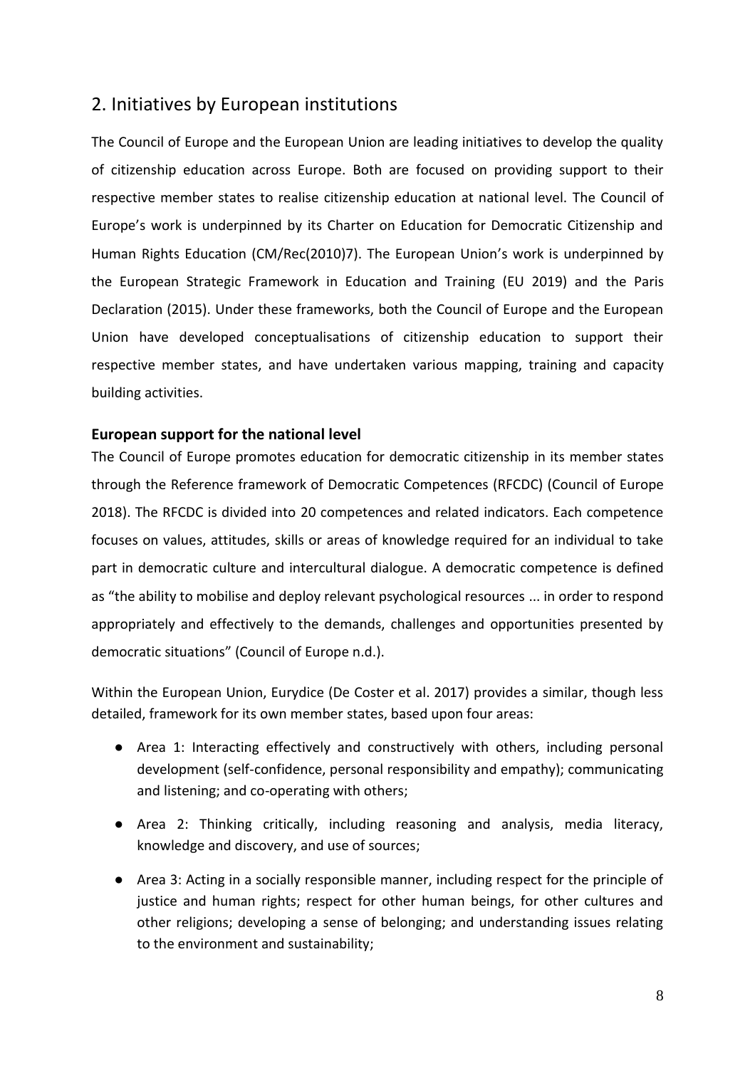# <span id="page-8-0"></span>2. Initiatives by European institutions

The Council of Europe and the European Union are leading initiatives to develop the quality of citizenship education across Europe. Both are focused on providing support to their respective member states to realise citizenship education at national level. The Council of Europe's work is underpinned by its Charter on Education for Democratic Citizenship and Human Rights Education (CM/Rec(2010)7). The European Union's work is underpinned by the European Strategic Framework in Education and Training (EU 2019) and the Paris Declaration (2015). Under these frameworks, both the Council of Europe and the European Union have developed conceptualisations of citizenship education to support their respective member states, and have undertaken various mapping, training and capacity building activities.

## <span id="page-8-1"></span>**European support for the national level**

The Council of Europe promotes education for democratic citizenship in its member states through the Reference framework of Democratic Competences (RFCDC) (Council of Europe 2018). The RFCDC is divided into 20 competences and related indicators. Each competence focuses on values, attitudes, skills or areas of knowledge required for an individual to take part in democratic culture and intercultural dialogue. A democratic competence is defined as "the ability to mobilise and deploy relevant psychological resources ... in order to respond appropriately and effectively to the demands, challenges and opportunities presented by democratic situations" (Council of Europe n.d.).

Within the European Union, Eurydice (De Coster et al. 2017) provides a similar, though less detailed, framework for its own member states, based upon four areas:

- *●* Area 1: Interacting effectively and constructively with others, including personal development (self-confidence, personal responsibility and empathy); communicating and listening; and co-operating with others;
- *●* Area 2: Thinking critically, including reasoning and analysis, media literacy, knowledge and discovery, and use of sources;
- *●* Area 3: Acting in a socially responsible manner, including respect for the principle of justice and human rights; respect for other human beings, for other cultures and other religions; developing a sense of belonging; and understanding issues relating to the environment and sustainability;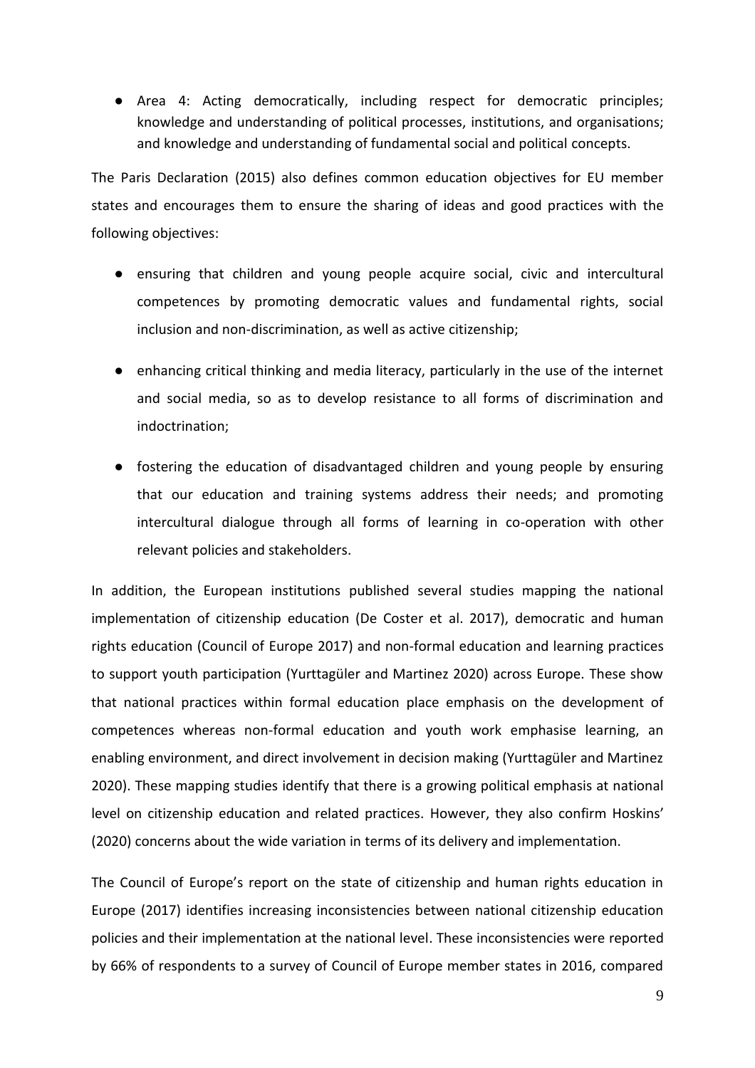*●* Area 4: Acting democratically, including respect for democratic principles; knowledge and understanding of political processes, institutions, and organisations; and knowledge and understanding of fundamental social and political concepts.

The Paris Declaration (2015) also defines common education objectives for EU member states and encourages them to ensure the sharing of ideas and good practices with the following objectives:

- ensuring that children and young people acquire social, civic and intercultural competences by promoting democratic values and fundamental rights, social inclusion and non-discrimination, as well as active citizenship;
- enhancing critical thinking and media literacy, particularly in the use of the internet and social media, so as to develop resistance to all forms of discrimination and indoctrination;
- fostering the education of disadvantaged children and young people by ensuring that our education and training systems address their needs; and promoting intercultural dialogue through all forms of learning in co-operation with other relevant policies and stakeholders.

In addition, the European institutions published several studies mapping the national implementation of citizenship education (De Coster et al. 2017), democratic and human rights education (Council of Europe 2017) and non-formal education and learning practices to support youth participation (Yurttagüler and Martinez 2020) across Europe. These show that national practices within formal education place emphasis on the development of competences whereas non-formal education and youth work emphasise learning, an enabling environment, and direct involvement in decision making (Yurttagüler and Martinez 2020). These mapping studies identify that there is a growing political emphasis at national level on citizenship education and related practices. However, they also confirm Hoskins' (2020) concerns about the wide variation in terms of its delivery and implementation.

The Council of Europe's report on the state of citizenship and human rights education in Europe (2017) identifies increasing inconsistencies between national citizenship education policies and their implementation at the national level. These inconsistencies were reported by 66% of respondents to a survey of Council of Europe member states in 2016, compared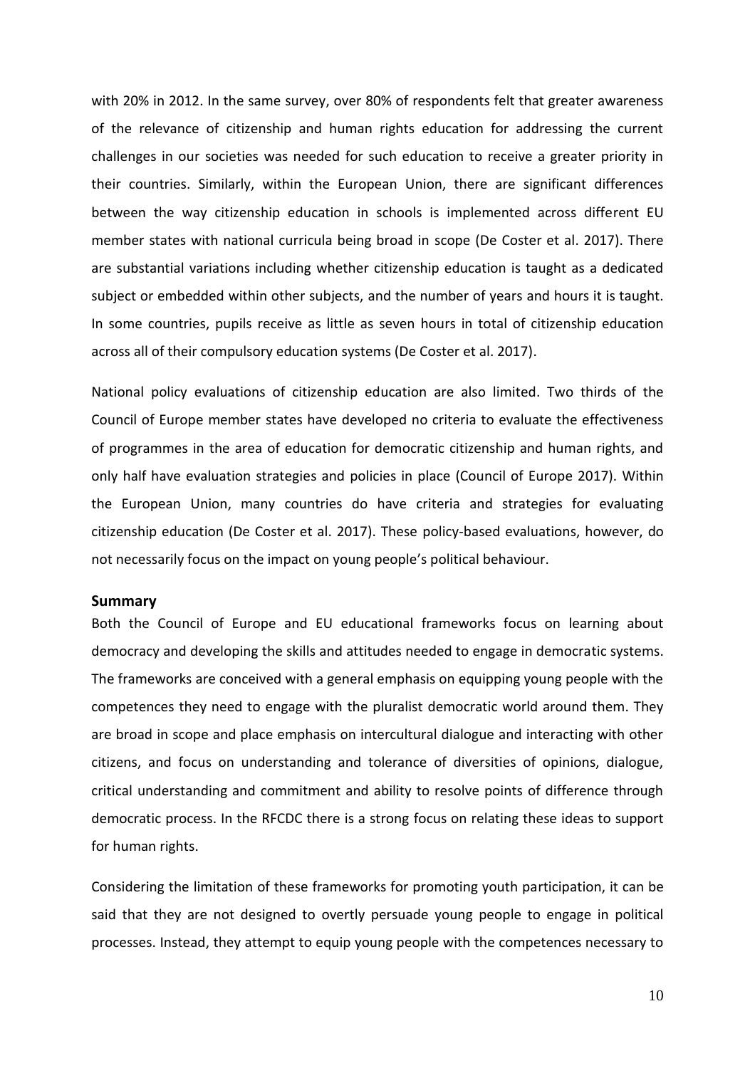with 20% in 2012. In the same survey, over 80% of respondents felt that greater awareness of the relevance of citizenship and human rights education for addressing the current challenges in our societies was needed for such education to receive a greater priority in their countries. Similarly, within the European Union, there are significant differences between the way citizenship education in schools is implemented across different EU member states with national curricula being broad in scope (De Coster et al. 2017). There are substantial variations including whether citizenship education is taught as a dedicated subject or embedded within other subjects, and the number of years and hours it is taught. In some countries, pupils receive as little as seven hours in total of citizenship education across all of their compulsory education systems (De Coster et al. 2017).

National policy evaluations of citizenship education are also limited. Two thirds of the Council of Europe member states have developed no criteria to evaluate the effectiveness of programmes in the area of education for democratic citizenship and human rights, and only half have evaluation strategies and policies in place (Council of Europe 2017). Within the European Union, many countries do have criteria and strategies for evaluating citizenship education (De Coster et al. 2017). These policy-based evaluations, however, do not necessarily focus on the impact on young people's political behaviour.

#### <span id="page-10-0"></span>**Summary**

Both the Council of Europe and EU educational frameworks focus on learning about democracy and developing the skills and attitudes needed to engage in democratic systems. The frameworks are conceived with a general emphasis on equipping young people with the competences they need to engage with the pluralist democratic world around them. They are broad in scope and place emphasis on intercultural dialogue and interacting with other citizens, and focus on understanding and tolerance of diversities of opinions, dialogue, critical understanding and commitment and ability to resolve points of difference through democratic process. In the RFCDC there is a strong focus on relating these ideas to support for human rights.

Considering the limitation of these frameworks for promoting youth participation, it can be said that they are not designed to overtly persuade young people to engage in political processes. Instead, they attempt to equip young people with the competences necessary to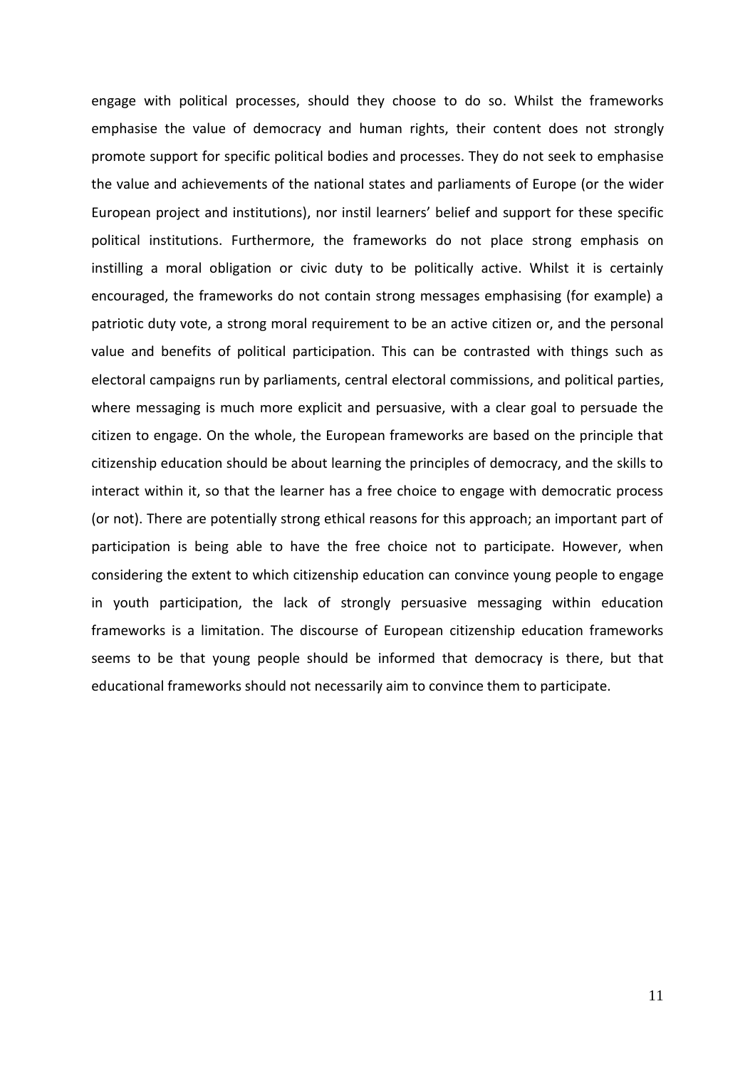engage with political processes, should they choose to do so. Whilst the frameworks emphasise the value of democracy and human rights, their content does not strongly promote support for specific political bodies and processes. They do not seek to emphasise the value and achievements of the national states and parliaments of Europe (or the wider European project and institutions), nor instil learners' belief and support for these specific political institutions. Furthermore, the frameworks do not place strong emphasis on instilling a moral obligation or civic duty to be politically active. Whilst it is certainly encouraged, the frameworks do not contain strong messages emphasising (for example) a patriotic duty vote, a strong moral requirement to be an active citizen or, and the personal value and benefits of political participation. This can be contrasted with things such as electoral campaigns run by parliaments, central electoral commissions, and political parties, where messaging is much more explicit and persuasive, with a clear goal to persuade the citizen to engage. On the whole, the European frameworks are based on the principle that citizenship education should be about learning the principles of democracy, and the skills to interact within it, so that the learner has a free choice to engage with democratic process (or not). There are potentially strong ethical reasons for this approach; an important part of participation is being able to have the free choice not to participate. However, when considering the extent to which citizenship education can convince young people to engage in youth participation, the lack of strongly persuasive messaging within education frameworks is a limitation. The discourse of European citizenship education frameworks seems to be that young people should be informed that democracy is there, but that educational frameworks should not necessarily aim to convince them to participate.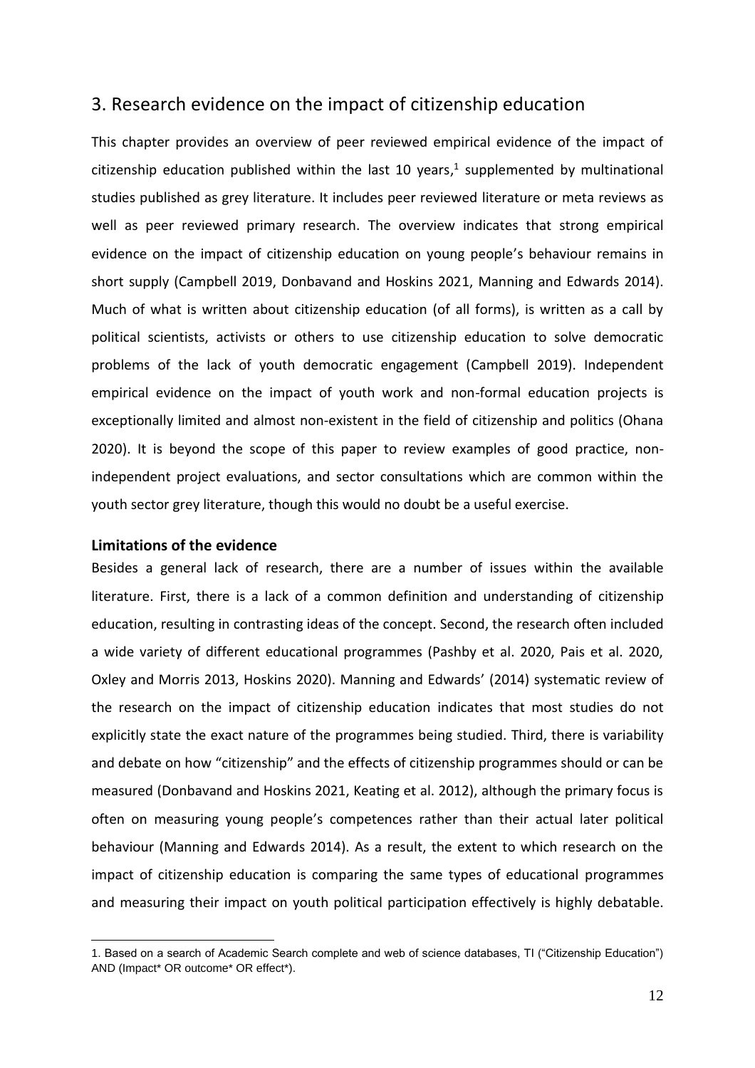## <span id="page-12-0"></span>3. Research evidence on the impact of citizenship education

This chapter provides an overview of peer reviewed empirical evidence of the impact of citizenship education published within the last 10 years, 1 supplemented by multinational studies published as grey literature. It includes peer reviewed literature or meta reviews as well as peer reviewed primary research. The overview indicates that strong empirical evidence on the impact of citizenship education on young people's behaviour remains in short supply (Campbell 2019, Donbavand and Hoskins 2021, Manning and Edwards 2014). Much of what is written about citizenship education (of all forms), is written as a call by political scientists, activists or others to use citizenship education to solve democratic problems of the lack of youth democratic engagement (Campbell 2019). Independent empirical evidence on the impact of youth work and non-formal education projects is exceptionally limited and almost non-existent in the field of citizenship and politics (Ohana 2020). It is beyond the scope of this paper to review examples of good practice, nonindependent project evaluations, and sector consultations which are common within the youth sector grey literature, though this would no doubt be a useful exercise.

#### <span id="page-12-1"></span>**Limitations of the evidence**

Besides a general lack of research, there are a number of issues within the available literature. First, there is a lack of a common definition and understanding of citizenship education, resulting in contrasting ideas of the concept. Second, the research often included a wide variety of different educational programmes (Pashby et al. 2020, Pais et al. 2020, Oxley and Morris 2013, Hoskins 2020). Manning and Edwards' (2014) systematic review of the research on the impact of citizenship education indicates that most studies do not explicitly state the exact nature of the programmes being studied. Third, there is variability and debate on how "citizenship" and the effects of citizenship programmes should or can be measured (Donbavand and Hoskins 2021, Keating et al. 2012), although the primary focus is often on measuring young people's competences rather than their actual later political behaviour (Manning and Edwards 2014). As a result, the extent to which research on the impact of citizenship education is comparing the same types of educational programmes and measuring their impact on youth political participation effectively is highly debatable.

<sup>1.</sup> Based on a search of Academic Search complete and web of science databases, TI ("Citizenship Education") AND (Impact\* OR outcome\* OR effect\*).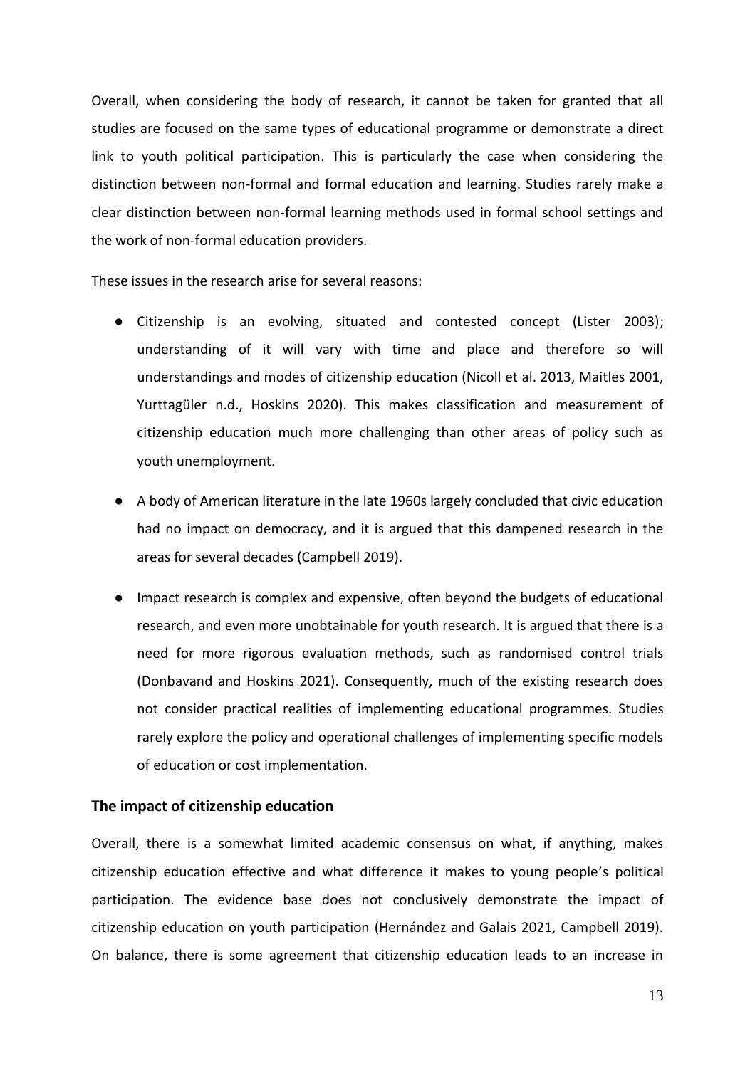Overall, when considering the body of research, it cannot be taken for granted that all studies are focused on the same types of educational programme or demonstrate a direct link to youth political participation. This is particularly the case when considering the distinction between non-formal and formal education and learning. Studies rarely make a clear distinction between non-formal learning methods used in formal school settings and the work of non-formal education providers.

These issues in the research arise for several reasons:

- Citizenship is an evolving, situated and contested concept (Lister 2003); understanding of it will vary with time and place and therefore so will understandings and modes of citizenship education (Nicoll et al. 2013, Maitles 2001, Yurttagüler n.d., Hoskins 2020). This makes classification and measurement of citizenship education much more challenging than other areas of policy such as youth unemployment.
- A body of American literature in the late 1960s largely concluded that civic education had no impact on democracy, and it is argued that this dampened research in the areas for several decades (Campbell 2019).
- Impact research is complex and expensive, often beyond the budgets of educational research, and even more unobtainable for youth research. It is argued that there is a need for more rigorous evaluation methods, such as randomised control trials (Donbavand and Hoskins 2021). Consequently, much of the existing research does not consider practical realities of implementing educational programmes. Studies rarely explore the policy and operational challenges of implementing specific models of education or cost implementation.

#### <span id="page-13-0"></span>**The impact of citizenship education**

Overall, there is a somewhat limited academic consensus on what, if anything, makes citizenship education effective and what difference it makes to young people's political participation. The evidence base does not conclusively demonstrate the impact of citizenship education on youth participation (Hernández and Galais 2021, Campbell 2019). On balance, there is some agreement that citizenship education leads to an increase in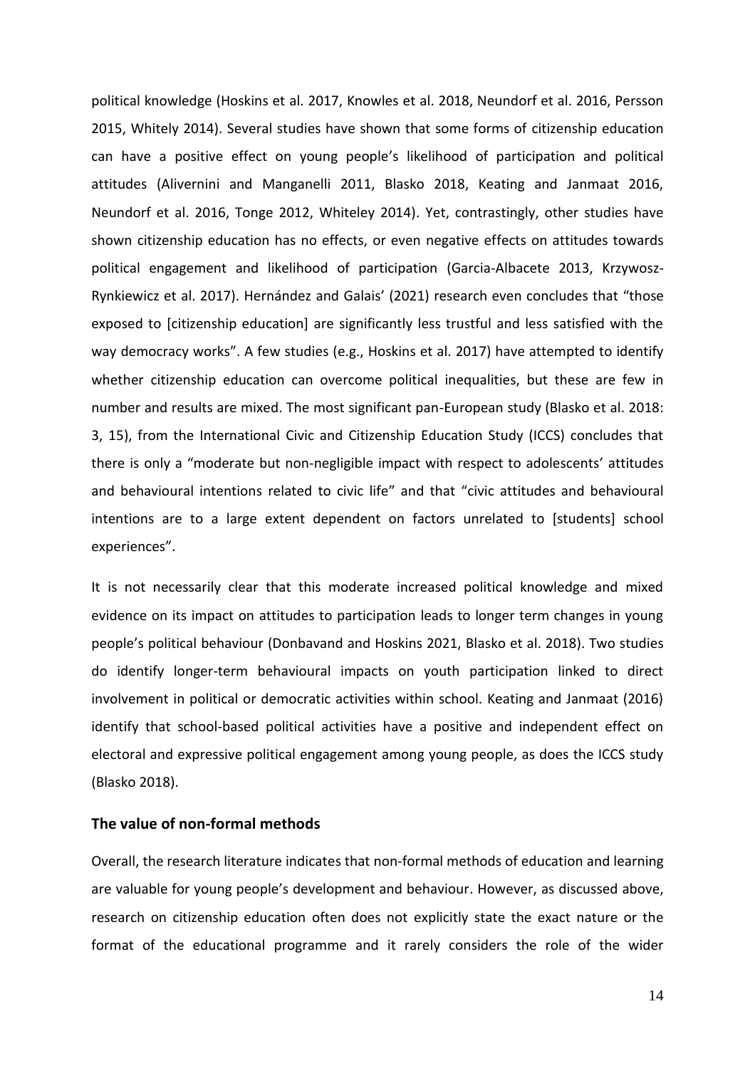political knowledge (Hoskins et al. 2017, Knowles et al. 2018, Neundorf et al. 2016, Persson 2015, Whitely 2014). Several studies have shown that some forms of citizenship education can have a positive effect on young people's likelihood of participation and political attitudes (Alivernini and Manganelli 2011, Blasko 2018, Keating and Janmaat 2016, Neundorf et al. 2016, Tonge 2012, Whiteley 2014). Yet, contrastingly, other studies have shown citizenship education has no effects, or even negative effects on attitudes towards political engagement and likelihood of participation (Garcia-Albacete 2013, Krzywosz-Rynkiewicz et al. 2017). Hernández and Galais' (2021) research even concludes that "those exposed to [citizenship education] are significantly less trustful and less satisfied with the way democracy works". A few studies (e.g., Hoskins et al. 2017) have attempted to identify whether citizenship education can overcome political inequalities, but these are few in number and results are mixed. The most significant pan-European study (Blasko et al. 2018: 3, 15), from the International Civic and Citizenship Education Study (ICCS) concludes that there is only a "moderate but non-negligible impact with respect to adolescents' attitudes and behavioural intentions related to civic life" and that "civic attitudes and behavioural intentions are to a large extent dependent on factors unrelated to [students] school experiences".

It is not necessarily clear that this moderate increased political knowledge and mixed evidence on its impact on attitudes to participation leads to longer term changes in young people's political behaviour (Donbavand and Hoskins 2021, Blasko et al. 2018). Two studies do identify longer-term behavioural impacts on youth participation linked to direct involvement in political or democratic activities within school. Keating and Janmaat (2016) identify that school-based political activities have a positive and independent effect on electoral and expressive political engagement among young people, as does the ICCS study (Blasko 2018).

#### <span id="page-14-0"></span>**The value of non-formal methods**

Overall, the research literature indicates that non-formal methods of education and learning are valuable for young people's development and behaviour. However, as discussed above, research on citizenship education often does not explicitly state the exact nature or the format of the educational programme and it rarely considers the role of the wider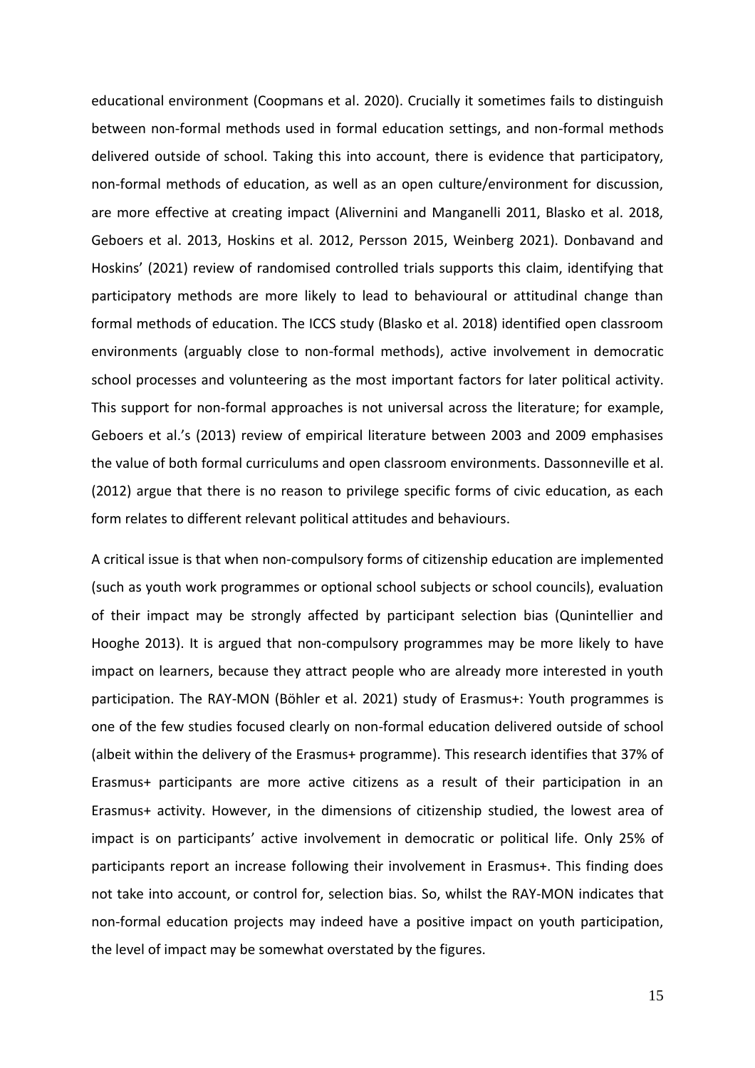educational environment (Coopmans et al. 2020). Crucially it sometimes fails to distinguish between non-formal methods used in formal education settings, and non-formal methods delivered outside of school. Taking this into account, there is evidence that participatory, non-formal methods of education, as well as an open culture/environment for discussion, are more effective at creating impact (Alivernini and Manganelli 2011, Blasko et al. 2018, Geboers et al. 2013, Hoskins et al. 2012, Persson 2015, Weinberg 2021). Donbavand and Hoskins' (2021) review of randomised controlled trials supports this claim, identifying that participatory methods are more likely to lead to behavioural or attitudinal change than formal methods of education. The ICCS study (Blasko et al. 2018) identified open classroom environments (arguably close to non-formal methods), active involvement in democratic school processes and volunteering as the most important factors for later political activity. This support for non-formal approaches is not universal across the literature; for example, Geboers et al.'s (2013) review of empirical literature between 2003 and 2009 emphasises the value of both formal curriculums and open classroom environments. Dassonneville et al. (2012) argue that there is no reason to privilege specific forms of civic education, as each form relates to different relevant political attitudes and behaviours.

A critical issue is that when non-compulsory forms of citizenship education are implemented (such as youth work programmes or optional school subjects or school councils), evaluation of their impact may be strongly affected by participant selection bias (Qunintellier and Hooghe 2013). It is argued that non-compulsory programmes may be more likely to have impact on learners, because they attract people who are already more interested in youth participation. The RAY-MON (Böhler et al. 2021) study of Erasmus+: Youth programmes is one of the few studies focused clearly on non-formal education delivered outside of school (albeit within the delivery of the Erasmus+ programme). This research identifies that 37% of Erasmus+ participants are more active citizens as a result of their participation in an Erasmus+ activity. However, in the dimensions of citizenship studied, the lowest area of impact is on participants' active involvement in democratic or political life. Only 25% of participants report an increase following their involvement in Erasmus+. This finding does not take into account, or control for, selection bias. So, whilst the RAY-MON indicates that non-formal education projects may indeed have a positive impact on youth participation, the level of impact may be somewhat overstated by the figures.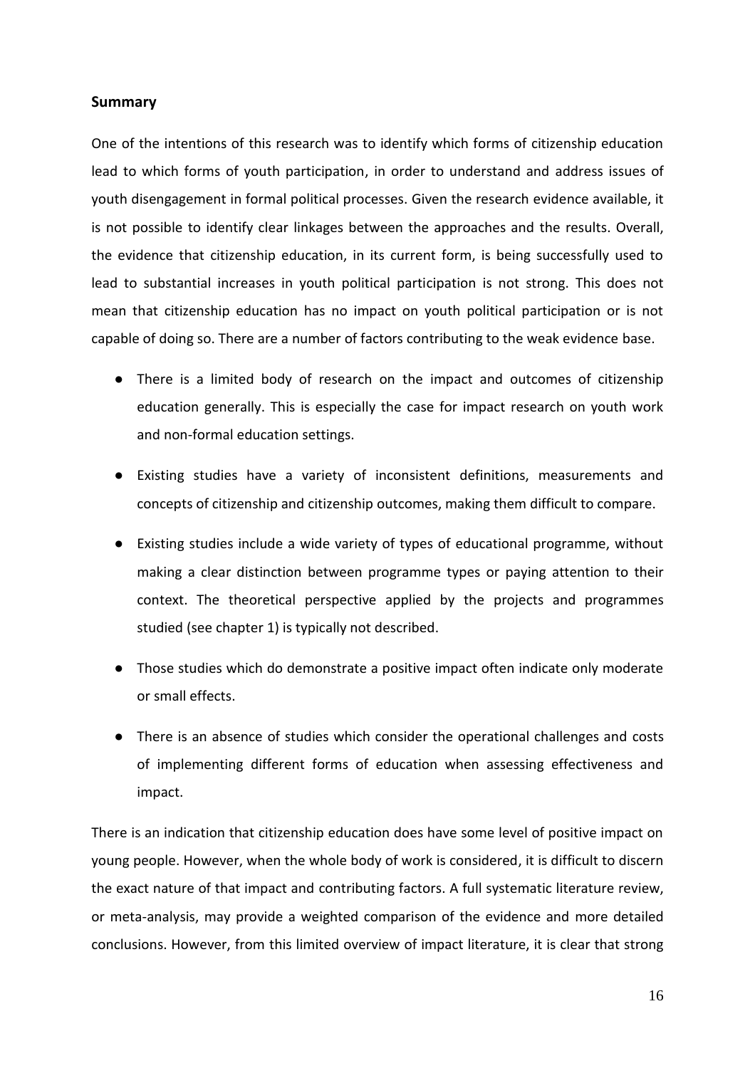## <span id="page-16-0"></span>**Summary**

One of the intentions of this research was to identify which forms of citizenship education lead to which forms of youth participation, in order to understand and address issues of youth disengagement in formal political processes. Given the research evidence available, it is not possible to identify clear linkages between the approaches and the results. Overall, the evidence that citizenship education, in its current form, is being successfully used to lead to substantial increases in youth political participation is not strong. This does not mean that citizenship education has no impact on youth political participation or is not capable of doing so. There are a number of factors contributing to the weak evidence base.

- There is a limited body of research on the impact and outcomes of citizenship education generally. This is especially the case for impact research on youth work and non-formal education settings.
- Existing studies have a variety of inconsistent definitions, measurements and concepts of citizenship and citizenship outcomes, making them difficult to compare.
- Existing studies include a wide variety of types of educational programme, without making a clear distinction between programme types or paying attention to their context. The theoretical perspective applied by the projects and programmes studied (see chapter 1) is typically not described.
- Those studies which do demonstrate a positive impact often indicate only moderate or small effects.
- There is an absence of studies which consider the operational challenges and costs of implementing different forms of education when assessing effectiveness and impact.

There is an indication that citizenship education does have some level of positive impact on young people. However, when the whole body of work is considered, it is difficult to discern the exact nature of that impact and contributing factors. A full systematic literature review, or meta-analysis, may provide a weighted comparison of the evidence and more detailed conclusions. However, from this limited overview of impact literature, it is clear that strong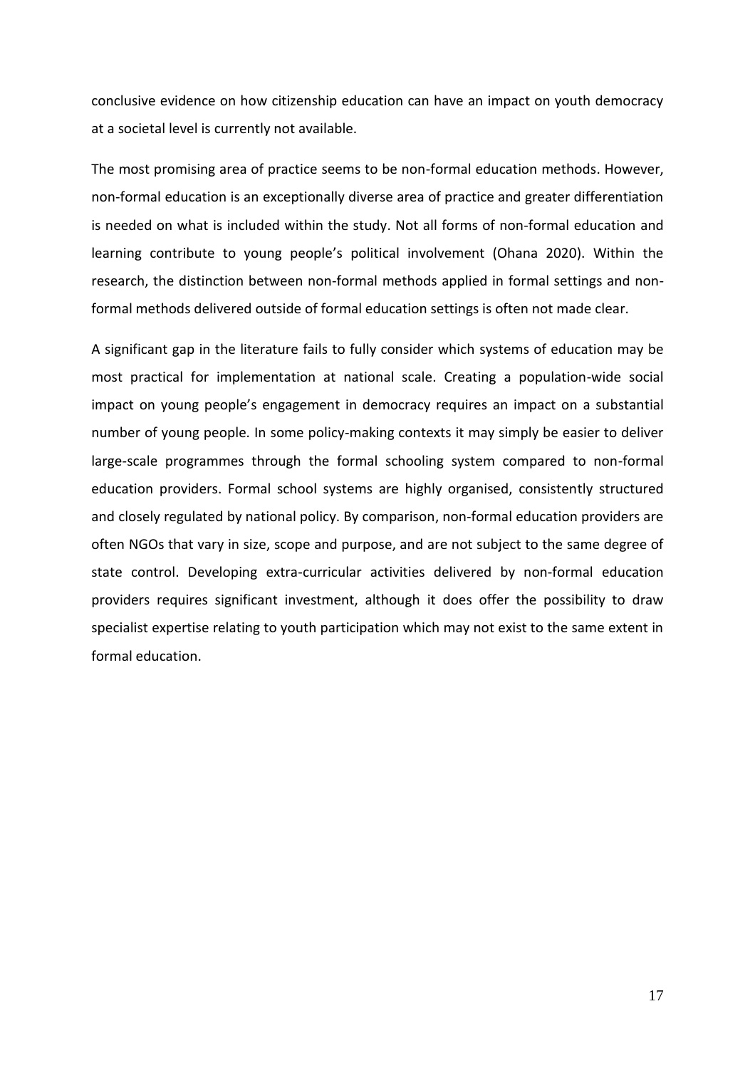conclusive evidence on how citizenship education can have an impact on youth democracy at a societal level is currently not available.

The most promising area of practice seems to be non-formal education methods. However, non-formal education is an exceptionally diverse area of practice and greater differentiation is needed on what is included within the study. Not all forms of non-formal education and learning contribute to young people's political involvement (Ohana 2020). Within the research, the distinction between non-formal methods applied in formal settings and nonformal methods delivered outside of formal education settings is often not made clear.

A significant gap in the literature fails to fully consider which systems of education may be most practical for implementation at national scale. Creating a population-wide social impact on young people's engagement in democracy requires an impact on a substantial number of young people. In some policy-making contexts it may simply be easier to deliver large-scale programmes through the formal schooling system compared to non-formal education providers. Formal school systems are highly organised, consistently structured and closely regulated by national policy. By comparison, non-formal education providers are often NGOs that vary in size, scope and purpose, and are not subject to the same degree of state control. Developing extra-curricular activities delivered by non-formal education providers requires significant investment, although it does offer the possibility to draw specialist expertise relating to youth participation which may not exist to the same extent in formal education.

17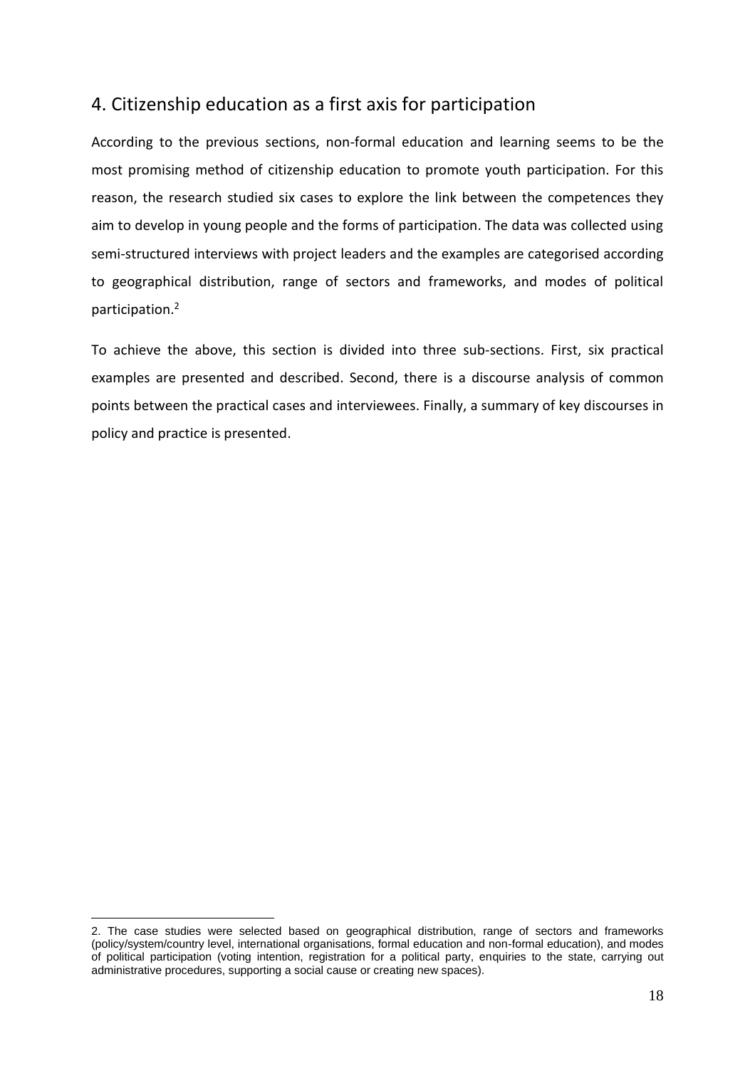# <span id="page-18-0"></span>4. Citizenship education as a first axis for participation

According to the previous sections, non-formal education and learning seems to be the most promising method of citizenship education to promote youth participation. For this reason, the research studied six cases to explore the link between the competences they aim to develop in young people and the forms of participation. The data was collected using semi-structured interviews with project leaders and the examples are categorised according to geographical distribution, range of sectors and frameworks, and modes of political participation. 2

To achieve the above, this section is divided into three sub-sections. First, six practical examples are presented and described. Second, there is a discourse analysis of common points between the practical cases and interviewees. Finally, a summary of key discourses in policy and practice is presented.

<sup>2.</sup> The case studies were selected based on geographical distribution, range of sectors and frameworks (policy/system/country level, international organisations, formal education and non-formal education), and modes of political participation (voting intention, registration for a political party, enquiries to the state, carrying out administrative procedures, supporting a social cause or creating new spaces).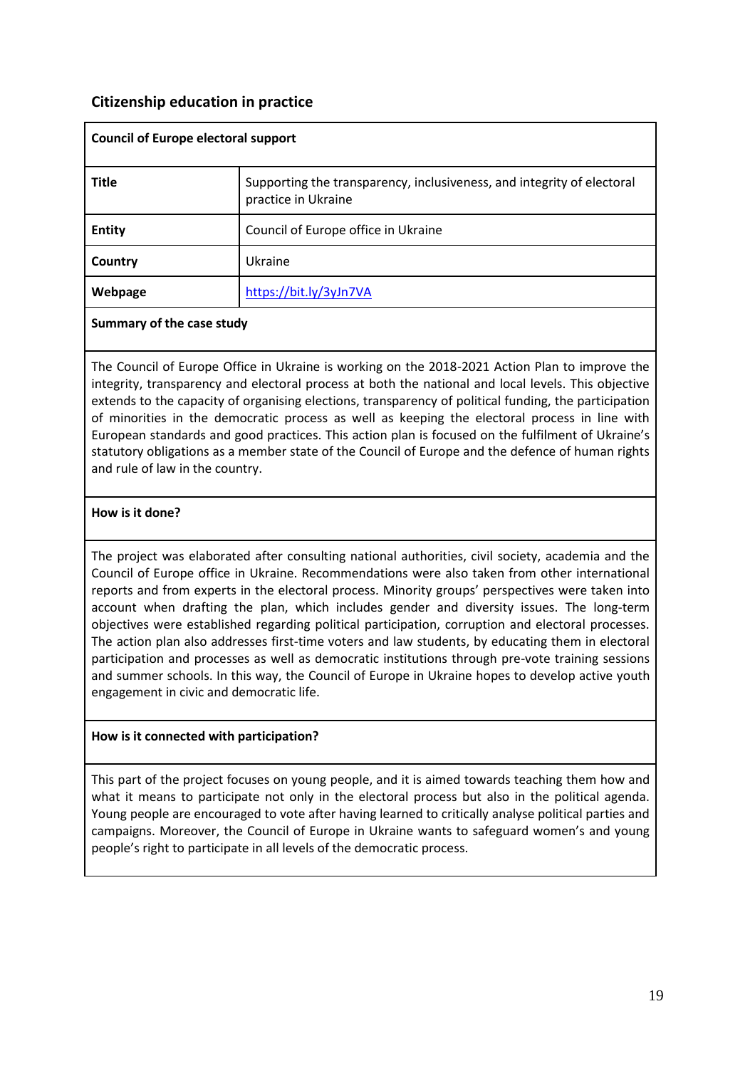## <span id="page-19-0"></span>**Citizenship education in practice**

| <b>Council of Europe electoral support</b> |                                                                                               |  |
|--------------------------------------------|-----------------------------------------------------------------------------------------------|--|
| <b>Title</b>                               | Supporting the transparency, inclusiveness, and integrity of electoral<br>practice in Ukraine |  |
| <b>Entity</b>                              | Council of Europe office in Ukraine                                                           |  |
| Country                                    | Ukraine                                                                                       |  |
| Webpage                                    | https://bit.ly/3yJn7VA                                                                        |  |

#### **Summary of the case study**

The Council of Europe Office in Ukraine is working on the 2018-2021 Action Plan to improve the integrity, transparency and electoral process at both the national and local levels. This objective extends to the capacity of organising elections, transparency of political funding, the participation of minorities in the democratic process as well as keeping the electoral process in line with European standards and good practices. This action plan is focused on the fulfilment of Ukraine's statutory obligations as a member state of the Council of Europe and the defence of human rights and rule of law in the country.

## **How is it done?**

The project was elaborated after consulting national authorities, civil society, academia and the Council of Europe office in Ukraine. Recommendations were also taken from other international reports and from experts in the electoral process. Minority groups' perspectives were taken into account when drafting the plan, which includes gender and diversity issues. The long-term objectives were established regarding political participation, corruption and electoral processes. The action plan also addresses first-time voters and law students, by educating them in electoral participation and processes as well as democratic institutions through pre-vote training sessions and summer schools. In this way, the Council of Europe in Ukraine hopes to develop active youth engagement in civic and democratic life.

## **How is it connected with participation?**

This part of the project focuses on young people, and it is aimed towards teaching them how and what it means to participate not only in the electoral process but also in the political agenda. Young people are encouraged to vote after having learned to critically analyse political parties and campaigns. Moreover, the Council of Europe in Ukraine wants to safeguard women's and young people's right to participate in all levels of the democratic process.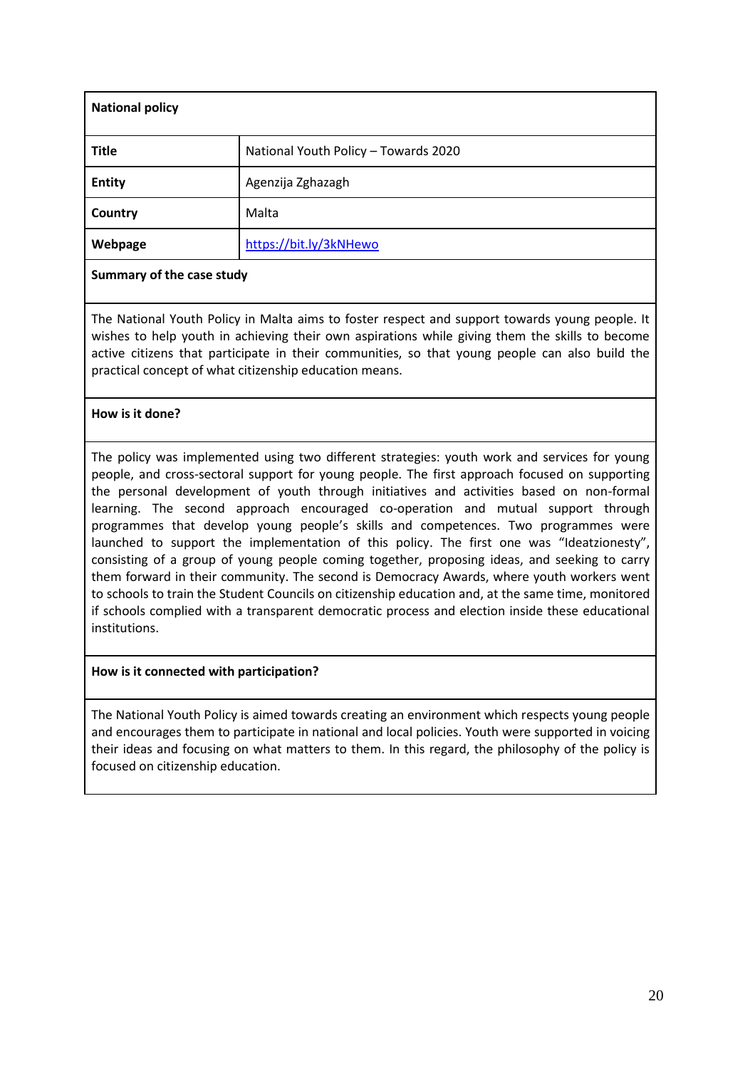| <b>National policy</b> |                                      |
|------------------------|--------------------------------------|
| <b>Title</b>           | National Youth Policy - Towards 2020 |
| <b>Entity</b>          | Agenzija Zghazagh                    |
| Country                | Malta                                |
| Webpage                | https://bit.ly/3kNHewo               |

The National Youth Policy in Malta aims to foster respect and support towards young people. It wishes to help youth in achieving their own aspirations while giving them the skills to become active citizens that participate in their communities, so that young people can also build the practical concept of what citizenship education means.

## **How is it done?**

The policy was implemented using two different strategies: youth work and services for young people, and cross-sectoral support for young people. The first approach focused on supporting the personal development of youth through initiatives and activities based on non-formal learning. The second approach encouraged co-operation and mutual support through programmes that develop young people's skills and competences. Two programmes were launched to support the implementation of this policy. The first one was "Ideatzionesty", consisting of a group of young people coming together, proposing ideas, and seeking to carry them forward in their community. The second is Democracy Awards, where youth workers went to schools to train the Student Councils on citizenship education and, at the same time, monitored if schools complied with a transparent democratic process and election inside these educational institutions.

## **How is it connected with participation?**

The National Youth Policy is aimed towards creating an environment which respects young people and encourages them to participate in national and local policies. Youth were supported in voicing their ideas and focusing on what matters to them. In this regard, the philosophy of the policy is focused on citizenship education.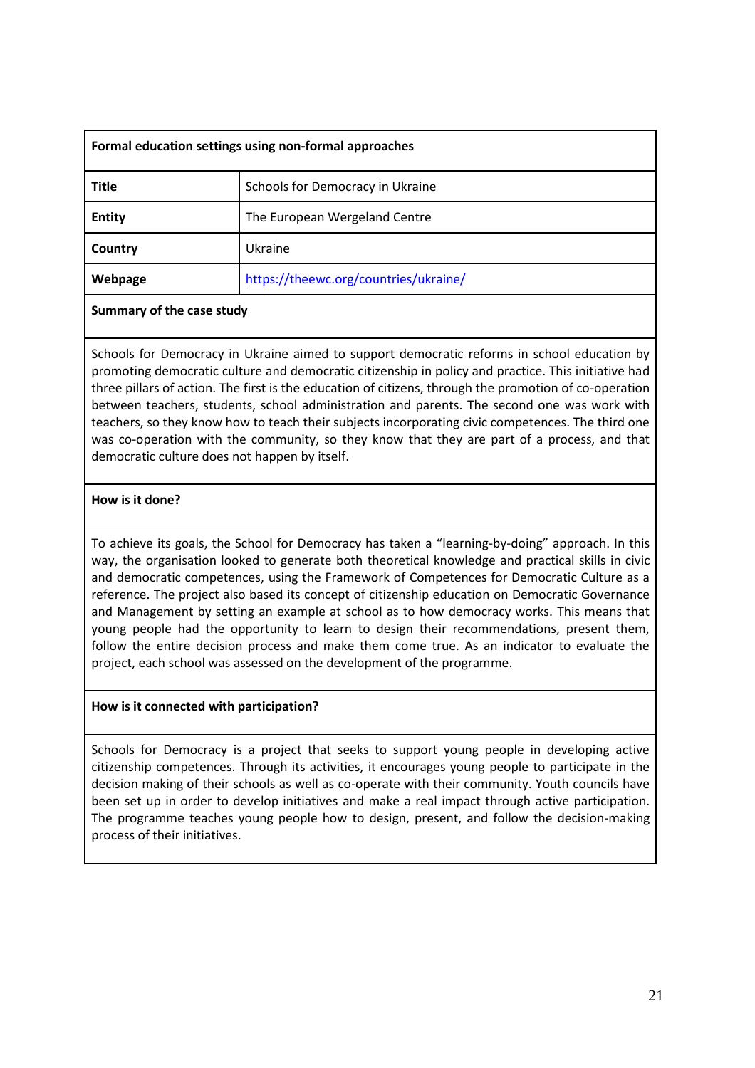| Formal education settings using non-formal approaches |                                       |  |
|-------------------------------------------------------|---------------------------------------|--|
| <b>Title</b>                                          | Schools for Democracy in Ukraine      |  |
| <b>Entity</b>                                         | The European Wergeland Centre         |  |
| Country                                               | Ukraine                               |  |
| Webpage                                               | https://theewc.org/countries/ukraine/ |  |

Schools for Democracy in Ukraine aimed to support democratic reforms in school education by promoting democratic culture and democratic citizenship in policy and practice. This initiative had three pillars of action. The first is the education of citizens, through the promotion of co-operation between teachers, students, school administration and parents. The second one was work with teachers, so they know how to teach their subjects incorporating civic competences. The third one was co-operation with the community, so they know that they are part of a process, and that democratic culture does not happen by itself.

## **How is it done?**

To achieve its goals, the School for Democracy has taken a "learning-by-doing" approach. In this way, the organisation looked to generate both theoretical knowledge and practical skills in civic and democratic competences, using the Framework of Competences for Democratic Culture as a reference. The project also based its concept of citizenship education on Democratic Governance and Management by setting an example at school as to how democracy works. This means that young people had the opportunity to learn to design their recommendations, present them, follow the entire decision process and make them come true. As an indicator to evaluate the project, each school was assessed on the development of the programme.

#### **How is it connected with participation?**

Schools for Democracy is a project that seeks to support young people in developing active citizenship competences. Through its activities, it encourages young people to participate in the decision making of their schools as well as co-operate with their community. Youth councils have been set up in order to develop initiatives and make a real impact through active participation. The programme teaches young people how to design, present, and follow the decision-making process of their initiatives.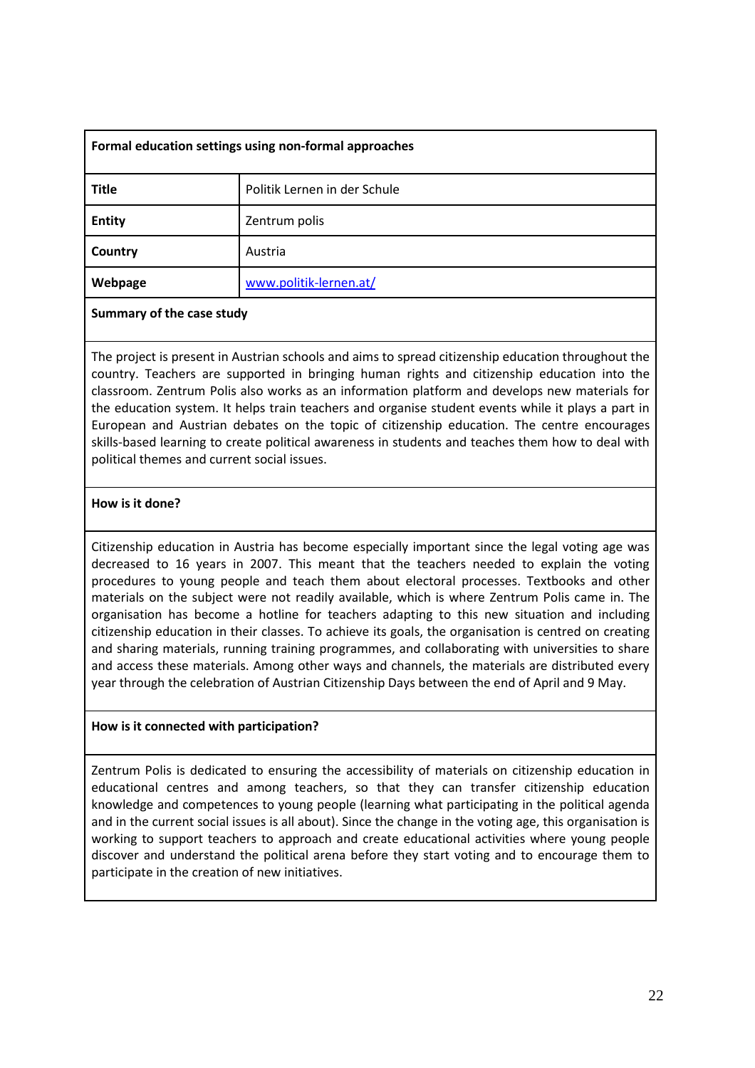| Formal education settings using non-formal approaches |                              |  |
|-------------------------------------------------------|------------------------------|--|
| <b>Title</b>                                          | Politik Lernen in der Schule |  |
| <b>Entity</b>                                         | Zentrum polis                |  |
| Country                                               | Austria                      |  |
| Webpage                                               | www.politik-lernen.at/       |  |

The project is present in Austrian schools and aims to spread citizenship education throughout the country. Teachers are supported in bringing human rights and citizenship education into the classroom. Zentrum Polis also works as an information platform and develops new materials for the education system. It helps train teachers and organise student events while it plays a part in European and Austrian debates on the topic of citizenship education. The centre encourages skills-based learning to create political awareness in students and teaches them how to deal with political themes and current social issues.

## **How is it done?**

Citizenship education in Austria has become especially important since the legal voting age was decreased to 16 years in 2007. This meant that the teachers needed to explain the voting procedures to young people and teach them about electoral processes. Textbooks and other materials on the subject were not readily available, which is where Zentrum Polis came in. The organisation has become a hotline for teachers adapting to this new situation and including citizenship education in their classes. To achieve its goals, the organisation is centred on creating and sharing materials, running training programmes, and collaborating with universities to share and access these materials. Among other ways and channels, the materials are distributed every year through the celebration of Austrian Citizenship Days between the end of April and 9 May.

## **How is it connected with participation?**

Zentrum Polis is dedicated to ensuring the accessibility of materials on citizenship education in educational centres and among teachers, so that they can transfer citizenship education knowledge and competences to young people (learning what participating in the political agenda and in the current social issues is all about). Since the change in the voting age, this organisation is working to support teachers to approach and create educational activities where young people discover and understand the political arena before they start voting and to encourage them to participate in the creation of new initiatives.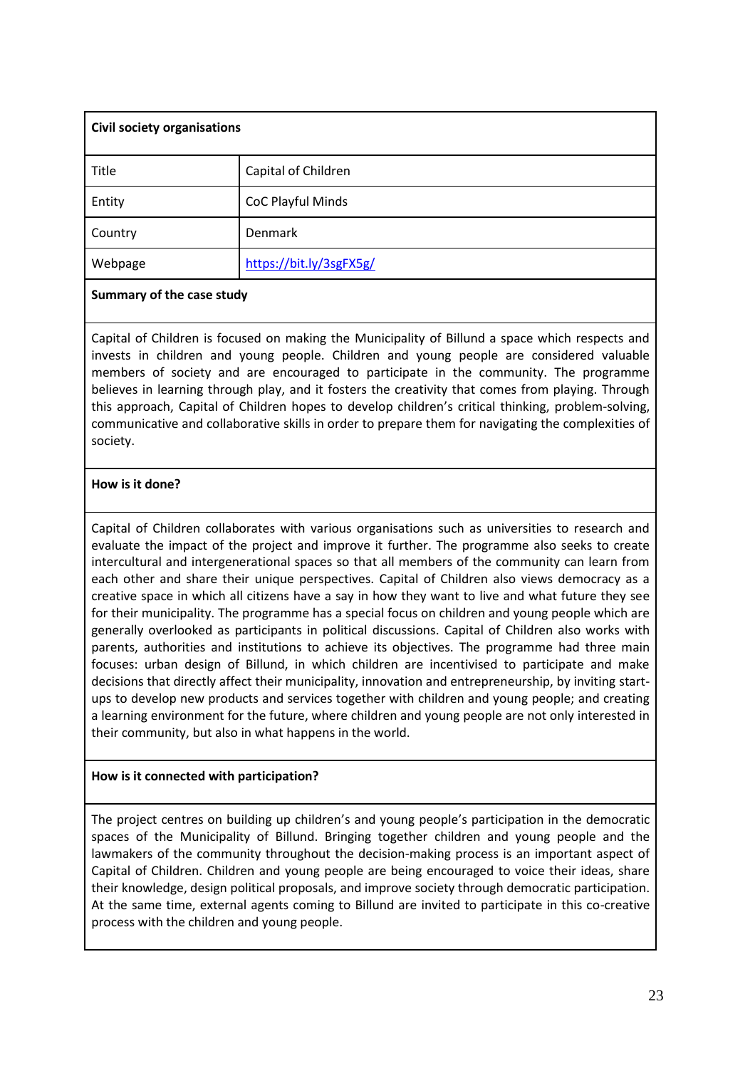| <b>Civil society organisations</b> |                         |  |
|------------------------------------|-------------------------|--|
| Title                              | Capital of Children     |  |
| Entity                             | CoC Playful Minds       |  |
| Country                            | Denmark                 |  |
| Webpage                            | https://bit.ly/3sgFX5g/ |  |

Capital of Children is focused on making the Municipality of Billund a space which respects and invests in children and young people. Children and young people are considered valuable members of society and are encouraged to participate in the community. The programme believes in learning through play, and it fosters the creativity that comes from playing. Through this approach, Capital of Children hopes to develop children's critical thinking, problem-solving, communicative and collaborative skills in order to prepare them for navigating the complexities of society.

## **How is it done?**

Capital of Children collaborates with various organisations such as universities to research and evaluate the impact of the project and improve it further. The programme also seeks to create intercultural and intergenerational spaces so that all members of the community can learn from each other and share their unique perspectives. Capital of Children also views democracy as a creative space in which all citizens have a say in how they want to live and what future they see for their municipality. The programme has a special focus on children and young people which are generally overlooked as participants in political discussions. Capital of Children also works with parents, authorities and institutions to achieve its objectives. The programme had three main focuses: urban design of Billund, in which children are incentivised to participate and make decisions that directly affect their municipality, innovation and entrepreneurship, by inviting startups to develop new products and services together with children and young people; and creating a learning environment for the future, where children and young people are not only interested in their community, but also in what happens in the world.

## **How is it connected with participation?**

The project centres on building up children's and young people's participation in the democratic spaces of the Municipality of Billund. Bringing together children and young people and the lawmakers of the community throughout the decision-making process is an important aspect of Capital of Children. Children and young people are being encouraged to voice their ideas, share their knowledge, design political proposals, and improve society through democratic participation. At the same time, external agents coming to Billund are invited to participate in this co-creative process with the children and young people.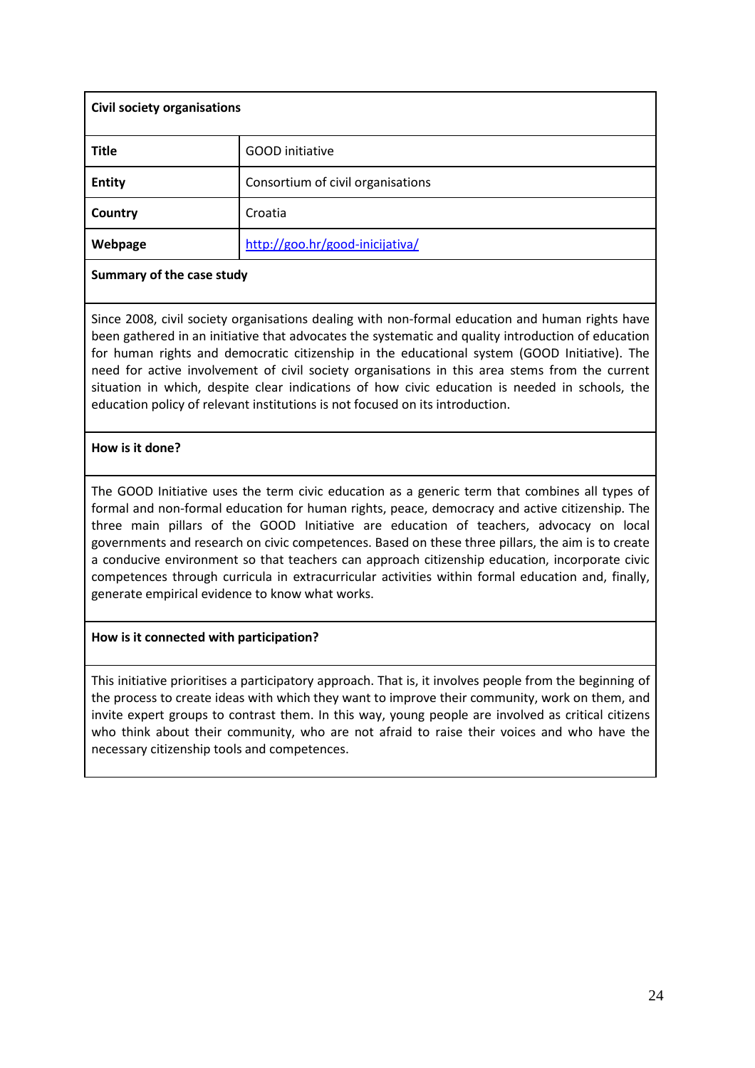| <b>Civil society organisations</b> |                                   |
|------------------------------------|-----------------------------------|
| <b>Title</b>                       | <b>GOOD</b> initiative            |
| <b>Entity</b>                      | Consortium of civil organisations |
| Country                            | Croatia                           |
| Webpage                            | http://goo.hr/good-inicijativa/   |

Since 2008, civil society organisations dealing with non-formal education and human rights have been gathered in an initiative that advocates the systematic and quality introduction of education for human rights and democratic citizenship in the educational system (GOOD Initiative). The need for active involvement of civil society organisations in this area stems from the current situation in which, despite clear indications of how civic education is needed in schools, the education policy of relevant institutions is not focused on its introduction.

#### **How is it done?**

The GOOD Initiative uses the term civic education as a generic term that combines all types of formal and non-formal education for human rights, peace, democracy and active citizenship. The three main pillars of the GOOD Initiative are education of teachers, advocacy on local governments and research on civic competences. Based on these three pillars, the aim is to create a conducive environment so that teachers can approach citizenship education, incorporate civic competences through curricula in extracurricular activities within formal education and, finally, generate empirical evidence to know what works.

## **How is it connected with participation?**

This initiative prioritises a participatory approach. That is, it involves people from the beginning of the process to create ideas with which they want to improve their community, work on them, and invite expert groups to contrast them. In this way, young people are involved as critical citizens who think about their community, who are not afraid to raise their voices and who have the necessary citizenship tools and competences.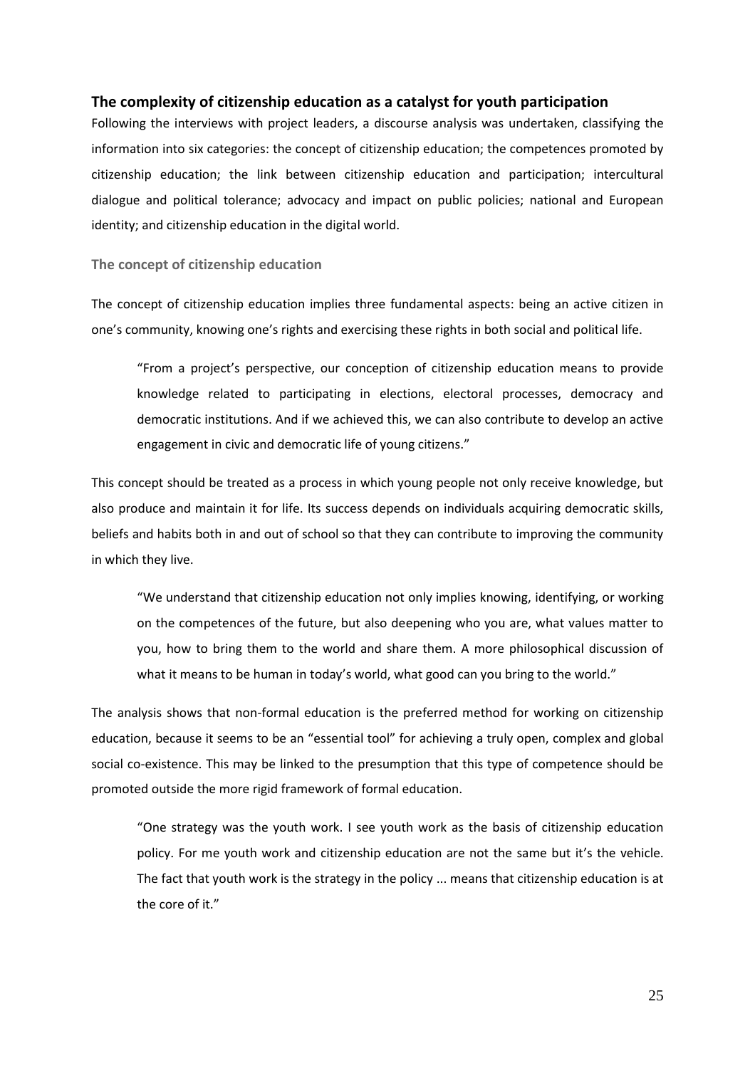#### <span id="page-25-0"></span>**The complexity of citizenship education as a catalyst for youth participation**

Following the interviews with project leaders, a discourse analysis was undertaken, classifying the information into six categories: the concept of citizenship education; the competences promoted by citizenship education; the link between citizenship education and participation; intercultural dialogue and political tolerance; advocacy and impact on public policies; national and European identity; and citizenship education in the digital world.

<span id="page-25-1"></span>**The concept of citizenship education**

The concept of citizenship education implies three fundamental aspects: being an active citizen in one's community, knowing one's rights and exercising these rights in both social and political life.

"From a project's perspective, our conception of citizenship education means to provide knowledge related to participating in elections, electoral processes, democracy and democratic institutions. And if we achieved this, we can also contribute to develop an active engagement in civic and democratic life of young citizens."

This concept should be treated as a process in which young people not only receive knowledge, but also produce and maintain it for life. Its success depends on individuals acquiring democratic skills, beliefs and habits both in and out of school so that they can contribute to improving the community in which they live.

"We understand that citizenship education not only implies knowing, identifying, or working on the competences of the future, but also deepening who you are, what values matter to you, how to bring them to the world and share them. A more philosophical discussion of what it means to be human in today's world, what good can you bring to the world."

The analysis shows that non-formal education is the preferred method for working on citizenship education, because it seems to be an "essential tool" for achieving a truly open, complex and global social co-existence. This may be linked to the presumption that this type of competence should be promoted outside the more rigid framework of formal education.

"One strategy was the youth work. I see youth work as the basis of citizenship education policy. For me youth work and citizenship education are not the same but it's the vehicle. The fact that youth work is the strategy in the policy ... means that citizenship education is at the core of it."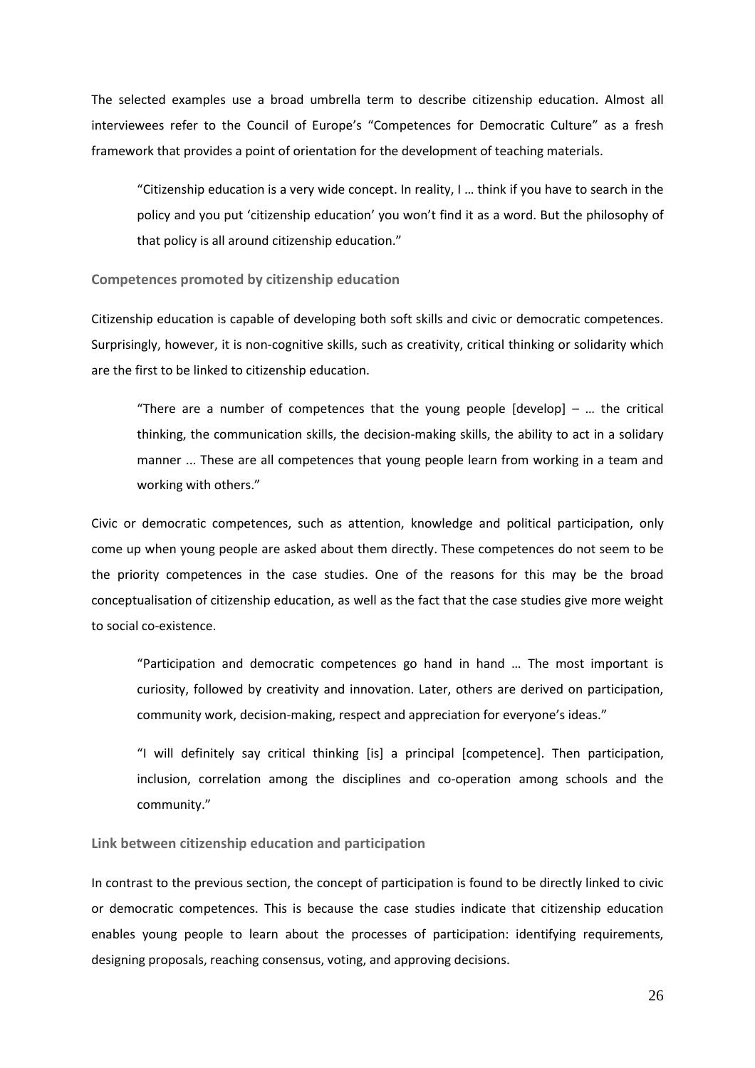The selected examples use a broad umbrella term to describe citizenship education. Almost all interviewees refer to the Council of Europe's "Competences for Democratic Culture" as a fresh framework that provides a point of orientation for the development of teaching materials.

"Citizenship education is a very wide concept. In reality, I … think if you have to search in the policy and you put 'citizenship education' you won't find it as a word. But the philosophy of that policy is all around citizenship education."

#### <span id="page-26-0"></span>**Competences promoted by citizenship education**

Citizenship education is capable of developing both soft skills and civic or democratic competences. Surprisingly, however, it is non-cognitive skills, such as creativity, critical thinking or solidarity which are the first to be linked to citizenship education.

"There are a number of competences that the young people  $[develp]$  – ... the critical thinking, the communication skills, the decision-making skills, the ability to act in a solidary manner ... These are all competences that young people learn from working in a team and working with others."

Civic or democratic competences, such as attention, knowledge and political participation, only come up when young people are asked about them directly. These competences do not seem to be the priority competences in the case studies. One of the reasons for this may be the broad conceptualisation of citizenship education, as well as the fact that the case studies give more weight to social co-existence.

"Participation and democratic competences go hand in hand … The most important is curiosity, followed by creativity and innovation. Later, others are derived on participation, community work, decision-making, respect and appreciation for everyone's ideas."

"I will definitely say critical thinking [is] a principal [competence]. Then participation, inclusion, correlation among the disciplines and co-operation among schools and the community."

<span id="page-26-1"></span>**Link between citizenship education and participation**

In contrast to the previous section, the concept of participation is found to be directly linked to civic or democratic competences. This is because the case studies indicate that citizenship education enables young people to learn about the processes of participation: identifying requirements, designing proposals, reaching consensus, voting, and approving decisions.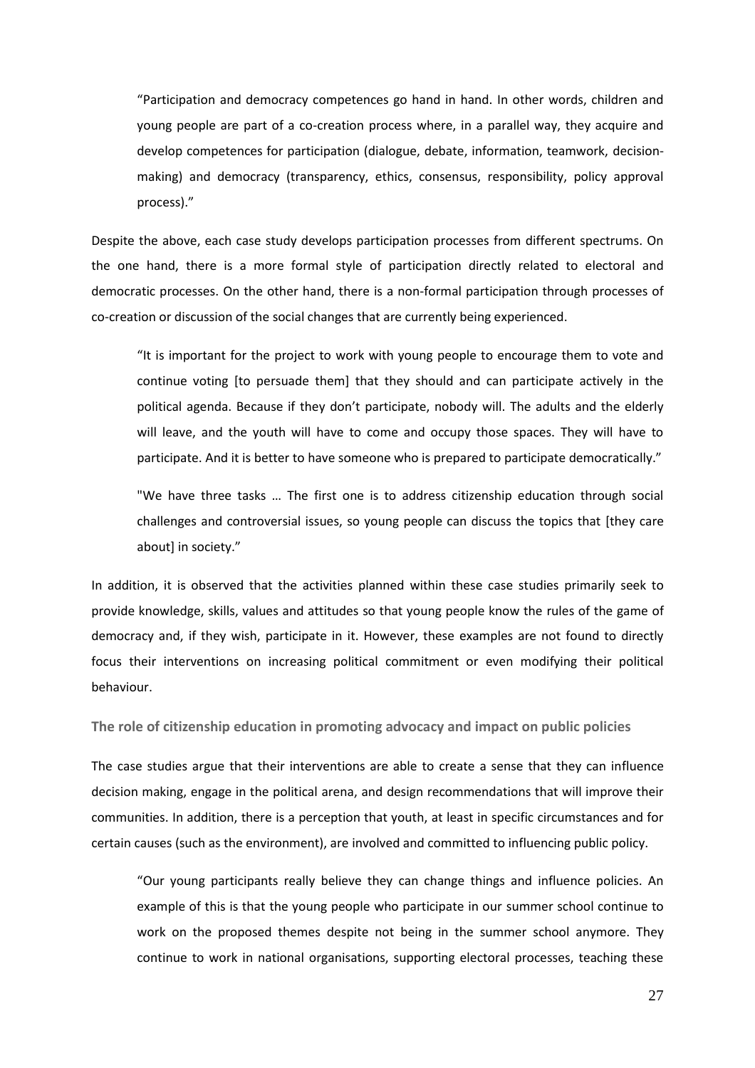"Participation and democracy competences go hand in hand. In other words, children and young people are part of a co-creation process where, in a parallel way, they acquire and develop competences for participation (dialogue, debate, information, teamwork, decisionmaking) and democracy (transparency, ethics, consensus, responsibility, policy approval process)."

Despite the above, each case study develops participation processes from different spectrums. On the one hand, there is a more formal style of participation directly related to electoral and democratic processes. On the other hand, there is a non-formal participation through processes of co-creation or discussion of the social changes that are currently being experienced.

"It is important for the project to work with young people to encourage them to vote and continue voting [to persuade them] that they should and can participate actively in the political agenda. Because if they don't participate, nobody will. The adults and the elderly will leave, and the youth will have to come and occupy those spaces. They will have to participate. And it is better to have someone who is prepared to participate democratically."

"We have three tasks … The first one is to address citizenship education through social challenges and controversial issues, so young people can discuss the topics that [they care about] in society."

In addition, it is observed that the activities planned within these case studies primarily seek to provide knowledge, skills, values and attitudes so that young people know the rules of the game of democracy and, if they wish, participate in it. However, these examples are not found to directly focus their interventions on increasing political commitment or even modifying their political behaviour.

<span id="page-27-0"></span>**The role of citizenship education in promoting advocacy and impact on public policies**

The case studies argue that their interventions are able to create a sense that they can influence decision making, engage in the political arena, and design recommendations that will improve their communities. In addition, there is a perception that youth, at least in specific circumstances and for certain causes (such as the environment), are involved and committed to influencing public policy.

"Our young participants really believe they can change things and influence policies. An example of this is that the young people who participate in our summer school continue to work on the proposed themes despite not being in the summer school anymore. They continue to work in national organisations, supporting electoral processes, teaching these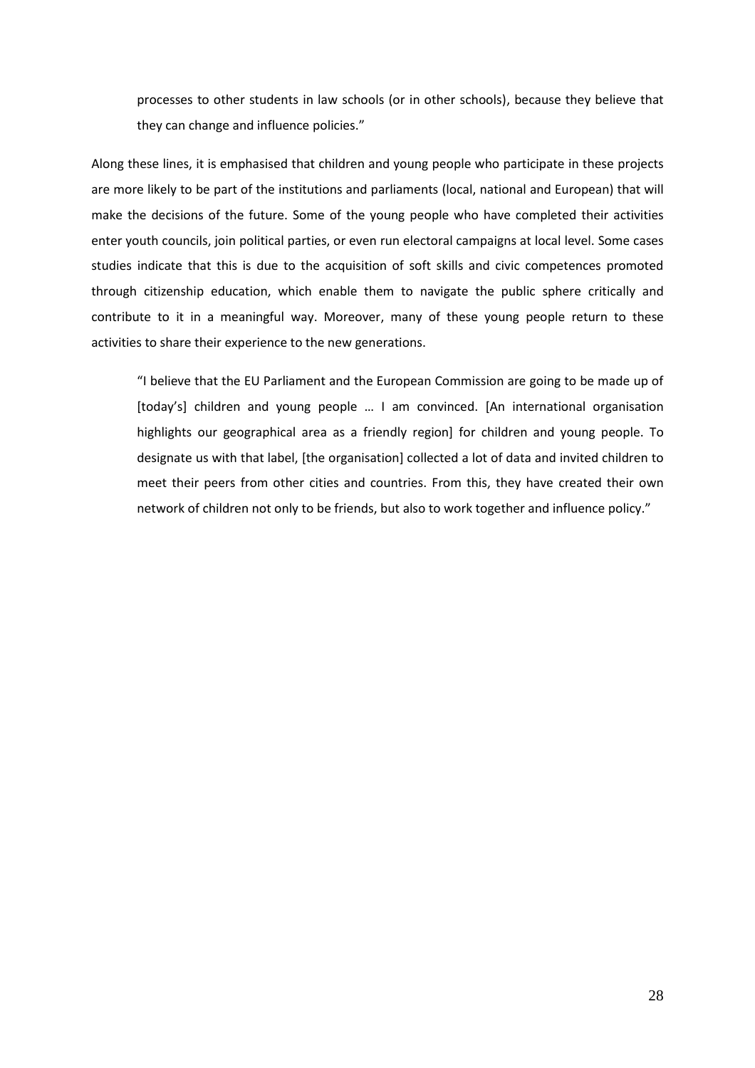processes to other students in law schools (or in other schools), because they believe that they can change and influence policies."

Along these lines, it is emphasised that children and young people who participate in these projects are more likely to be part of the institutions and parliaments (local, national and European) that will make the decisions of the future. Some of the young people who have completed their activities enter youth councils, join political parties, or even run electoral campaigns at local level. Some cases studies indicate that this is due to the acquisition of soft skills and civic competences promoted through citizenship education, which enable them to navigate the public sphere critically and contribute to it in a meaningful way. Moreover, many of these young people return to these activities to share their experience to the new generations.

"I believe that the EU Parliament and the European Commission are going to be made up of [today's] children and young people … I am convinced. [An international organisation highlights our geographical area as a friendly region] for children and young people. To designate us with that label, [the organisation] collected a lot of data and invited children to meet their peers from other cities and countries. From this, they have created their own network of children not only to be friends, but also to work together and influence policy."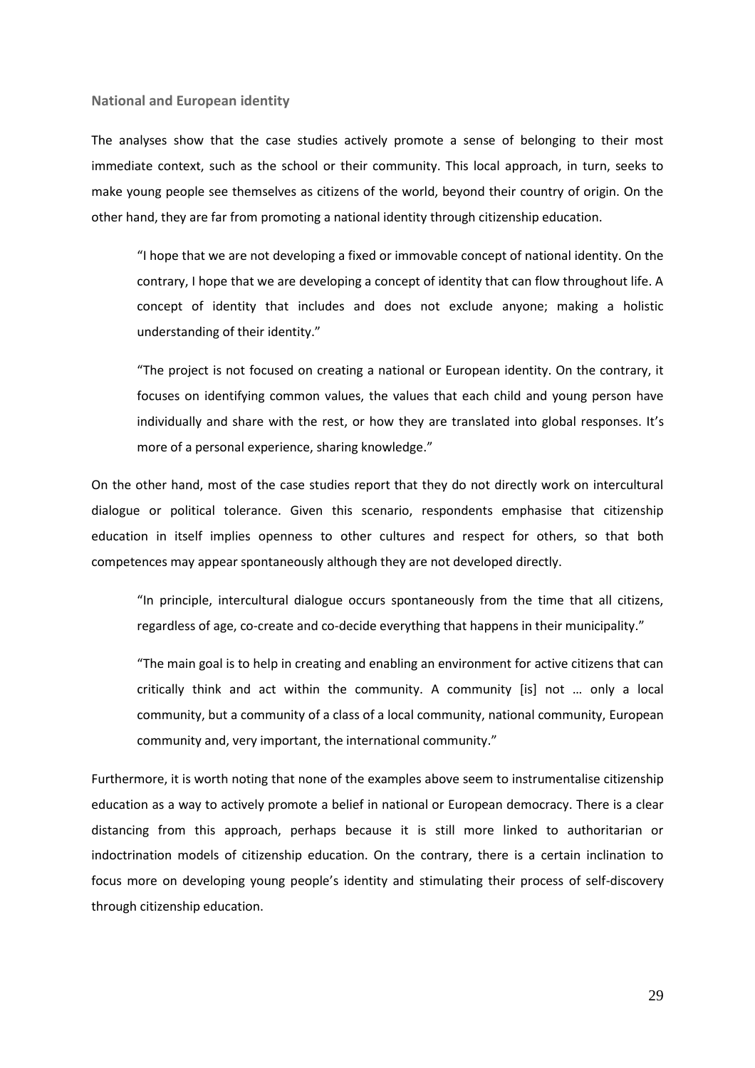#### <span id="page-29-0"></span>**National and European identity**

The analyses show that the case studies actively promote a sense of belonging to their most immediate context, such as the school or their community. This local approach, in turn, seeks to make young people see themselves as citizens of the world, beyond their country of origin. On the other hand, they are far from promoting a national identity through citizenship education.

"I hope that we are not developing a fixed or immovable concept of national identity. On the contrary, I hope that we are developing a concept of identity that can flow throughout life. A concept of identity that includes and does not exclude anyone; making a holistic understanding of their identity."

"The project is not focused on creating a national or European identity. On the contrary, it focuses on identifying common values, the values that each child and young person have individually and share with the rest, or how they are translated into global responses. It's more of a personal experience, sharing knowledge."

On the other hand, most of the case studies report that they do not directly work on intercultural dialogue or political tolerance. Given this scenario, respondents emphasise that citizenship education in itself implies openness to other cultures and respect for others, so that both competences may appear spontaneously although they are not developed directly.

"In principle, intercultural dialogue occurs spontaneously from the time that all citizens, regardless of age, co-create and co-decide everything that happens in their municipality."

"The main goal is to help in creating and enabling an environment for active citizens that can critically think and act within the community. A community [is] not … only a local community, but a community of a class of a local community, national community, European community and, very important, the international community."

Furthermore, it is worth noting that none of the examples above seem to instrumentalise citizenship education as a way to actively promote a belief in national or European democracy. There is a clear distancing from this approach, perhaps because it is still more linked to authoritarian or indoctrination models of citizenship education. On the contrary, there is a certain inclination to focus more on developing young people's identity and stimulating their process of self-discovery through citizenship education.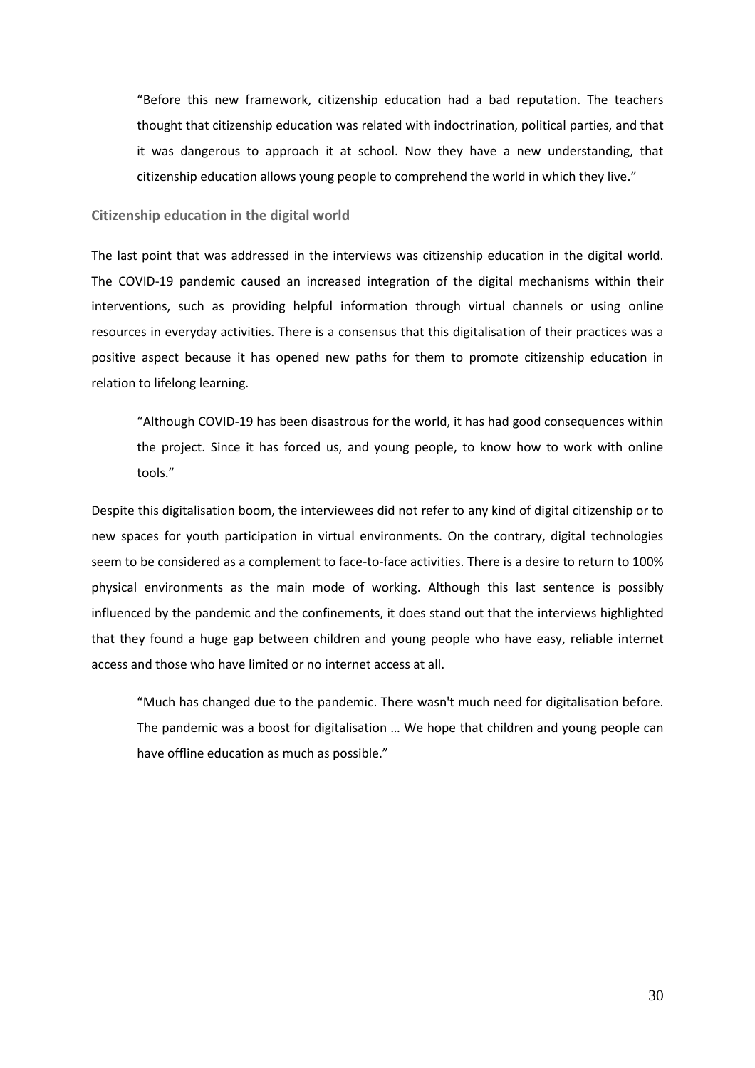"Before this new framework, citizenship education had a bad reputation. The teachers thought that citizenship education was related with indoctrination, political parties, and that it was dangerous to approach it at school. Now they have a new understanding, that citizenship education allows young people to comprehend the world in which they live."

#### <span id="page-30-0"></span>**Citizenship education in the digital world**

The last point that was addressed in the interviews was citizenship education in the digital world. The COVID-19 pandemic caused an increased integration of the digital mechanisms within their interventions, such as providing helpful information through virtual channels or using online resources in everyday activities. There is a consensus that this digitalisation of their practices was a positive aspect because it has opened new paths for them to promote citizenship education in relation to lifelong learning.

"Although COVID-19 has been disastrous for the world, it has had good consequences within the project. Since it has forced us, and young people, to know how to work with online tools."

Despite this digitalisation boom, the interviewees did not refer to any kind of digital citizenship or to new spaces for youth participation in virtual environments. On the contrary, digital technologies seem to be considered as a complement to face-to-face activities. There is a desire to return to 100% physical environments as the main mode of working. Although this last sentence is possibly influenced by the pandemic and the confinements, it does stand out that the interviews highlighted that they found a huge gap between children and young people who have easy, reliable internet access and those who have limited or no internet access at all.

"Much has changed due to the pandemic. There wasn't much need for digitalisation before. The pandemic was a boost for digitalisation … We hope that children and young people can have offline education as much as possible."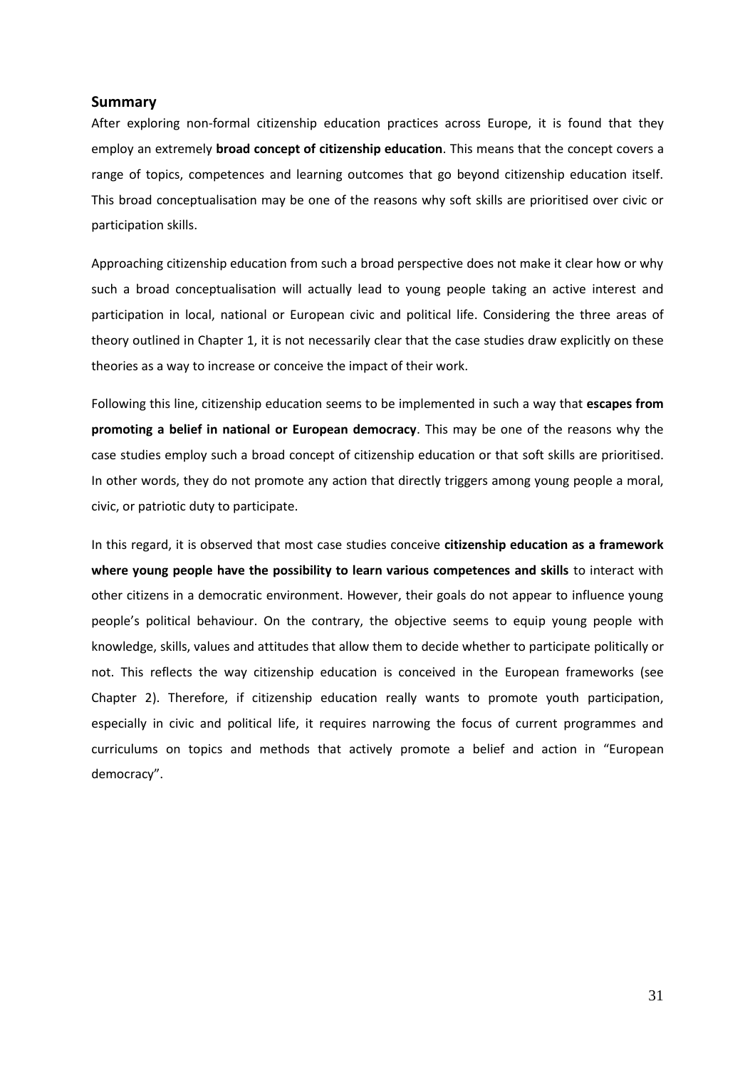#### <span id="page-31-0"></span>**Summary**

After exploring non-formal citizenship education practices across Europe, it is found that they employ an extremely **broad concept of citizenship education**. This means that the concept covers a range of topics, competences and learning outcomes that go beyond citizenship education itself. This broad conceptualisation may be one of the reasons why soft skills are prioritised over civic or participation skills.

Approaching citizenship education from such a broad perspective does not make it clear how or why such a broad conceptualisation will actually lead to young people taking an active interest and participation in local, national or European civic and political life. Considering the three areas of theory outlined in Chapter 1, it is not necessarily clear that the case studies draw explicitly on these theories as a way to increase or conceive the impact of their work.

Following this line, citizenship education seems to be implemented in such a way that **escapes from promoting a belief in national or European democracy**. This may be one of the reasons why the case studies employ such a broad concept of citizenship education or that soft skills are prioritised. In other words, they do not promote any action that directly triggers among young people a moral, civic, or patriotic duty to participate.

In this regard, it is observed that most case studies conceive **citizenship education as a framework where young people have the possibility to learn various competences and skills** to interact with other citizens in a democratic environment. However, their goals do not appear to influence young people's political behaviour. On the contrary, the objective seems to equip young people with knowledge, skills, values and attitudes that allow them to decide whether to participate politically or not. This reflects the way citizenship education is conceived in the European frameworks (see Chapter 2). Therefore, if citizenship education really wants to promote youth participation, especially in civic and political life, it requires narrowing the focus of current programmes and curriculums on topics and methods that actively promote a belief and action in "European democracy".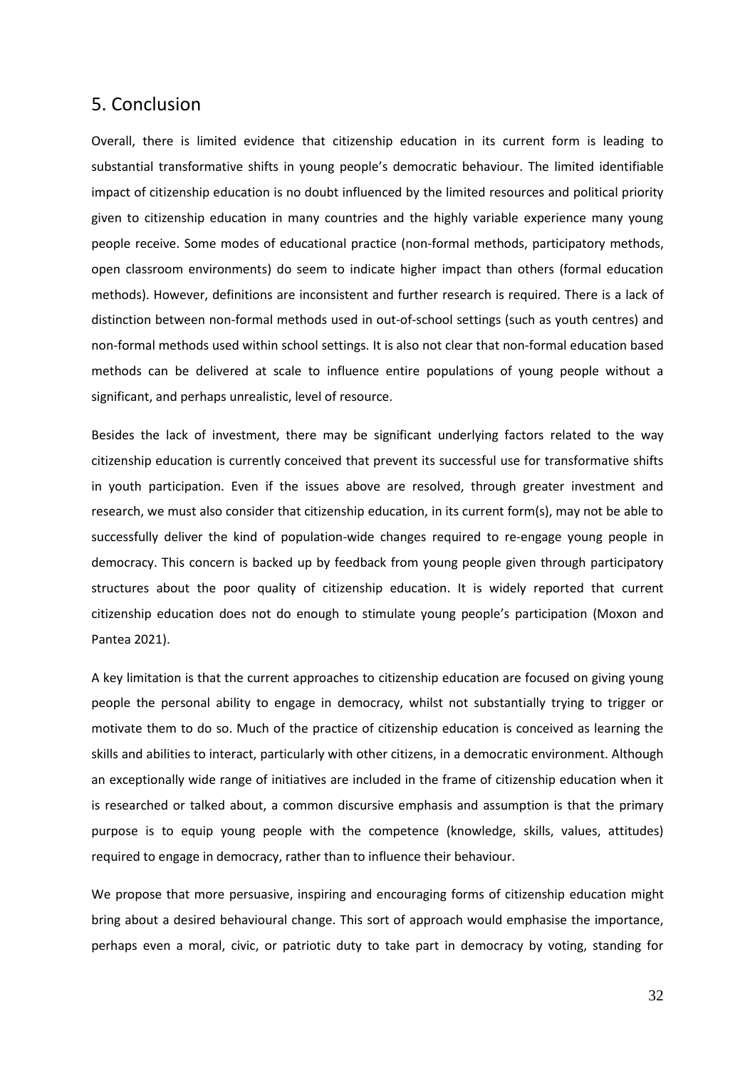## <span id="page-32-0"></span>5. Conclusion

Overall, there is limited evidence that citizenship education in its current form is leading to substantial transformative shifts in young people's democratic behaviour. The limited identifiable impact of citizenship education is no doubt influenced by the limited resources and political priority given to citizenship education in many countries and the highly variable experience many young people receive. Some modes of educational practice (non-formal methods, participatory methods, open classroom environments) do seem to indicate higher impact than others (formal education methods). However, definitions are inconsistent and further research is required. There is a lack of distinction between non-formal methods used in out-of-school settings (such as youth centres) and non-formal methods used within school settings. It is also not clear that non-formal education based methods can be delivered at scale to influence entire populations of young people without a significant, and perhaps unrealistic, level of resource.

Besides the lack of investment, there may be significant underlying factors related to the way citizenship education is currently conceived that prevent its successful use for transformative shifts in youth participation. Even if the issues above are resolved, through greater investment and research, we must also consider that citizenship education, in its current form(s), may not be able to successfully deliver the kind of population-wide changes required to re-engage young people in democracy. This concern is backed up by feedback from young people given through participatory structures about the poor quality of citizenship education. It is widely reported that current citizenship education does not do enough to stimulate young people's participation (Moxon and Pantea 2021).

A key limitation is that the current approaches to citizenship education are focused on giving young people the personal ability to engage in democracy, whilst not substantially trying to trigger or motivate them to do so. Much of the practice of citizenship education is conceived as learning the skills and abilities to interact, particularly with other citizens, in a democratic environment. Although an exceptionally wide range of initiatives are included in the frame of citizenship education when it is researched or talked about, a common discursive emphasis and assumption is that the primary purpose is to equip young people with the competence (knowledge, skills, values, attitudes) required to engage in democracy, rather than to influence their behaviour.

We propose that more persuasive, inspiring and encouraging forms of citizenship education might bring about a desired behavioural change. This sort of approach would emphasise the importance, perhaps even a moral, civic, or patriotic duty to take part in democracy by voting, standing for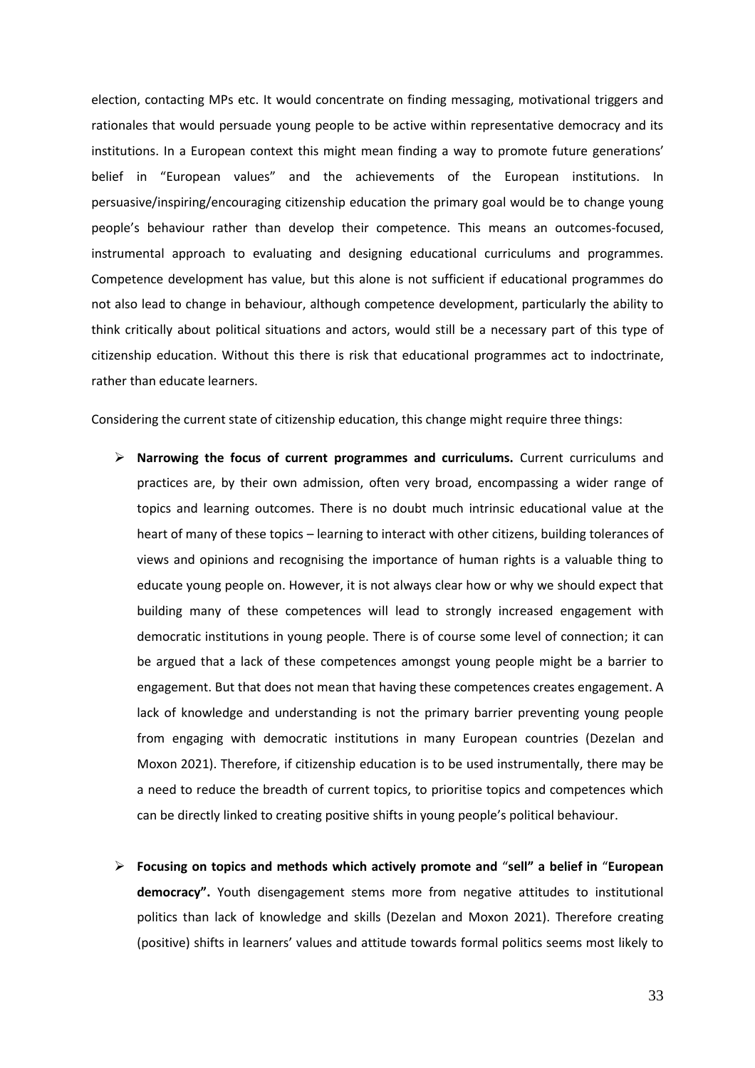election, contacting MPs etc. It would concentrate on finding messaging, motivational triggers and rationales that would persuade young people to be active within representative democracy and its institutions. In a European context this might mean finding a way to promote future generations' belief in "European values" and the achievements of the European institutions. In persuasive/inspiring/encouraging citizenship education the primary goal would be to change young people's behaviour rather than develop their competence. This means an outcomes-focused, instrumental approach to evaluating and designing educational curriculums and programmes. Competence development has value, but this alone is not sufficient if educational programmes do not also lead to change in behaviour, although competence development, particularly the ability to think critically about political situations and actors, would still be a necessary part of this type of citizenship education. Without this there is risk that educational programmes act to indoctrinate, rather than educate learners.

Considering the current state of citizenship education, this change might require three things:

- ➢ **Narrowing the focus of current programmes and curriculums.** Current curriculums and practices are, by their own admission, often very broad, encompassing a wider range of topics and learning outcomes. There is no doubt much intrinsic educational value at the heart of many of these topics – learning to interact with other citizens, building tolerances of views and opinions and recognising the importance of human rights is a valuable thing to educate young people on. However, it is not always clear how or why we should expect that building many of these competences will lead to strongly increased engagement with democratic institutions in young people. There is of course some level of connection; it can be argued that a lack of these competences amongst young people might be a barrier to engagement. But that does not mean that having these competences creates engagement. A lack of knowledge and understanding is not the primary barrier preventing young people from engaging with democratic institutions in many European countries (Dezelan and Moxon 2021). Therefore, if citizenship education is to be used instrumentally, there may be a need to reduce the breadth of current topics, to prioritise topics and competences which can be directly linked to creating positive shifts in young people's political behaviour.
- ➢ **Focusing on topics and methods which actively promote and** "**sell" a belief in** "**European democracy".** Youth disengagement stems more from negative attitudes to institutional politics than lack of knowledge and skills (Dezelan and Moxon 2021). Therefore creating (positive) shifts in learners' values and attitude towards formal politics seems most likely to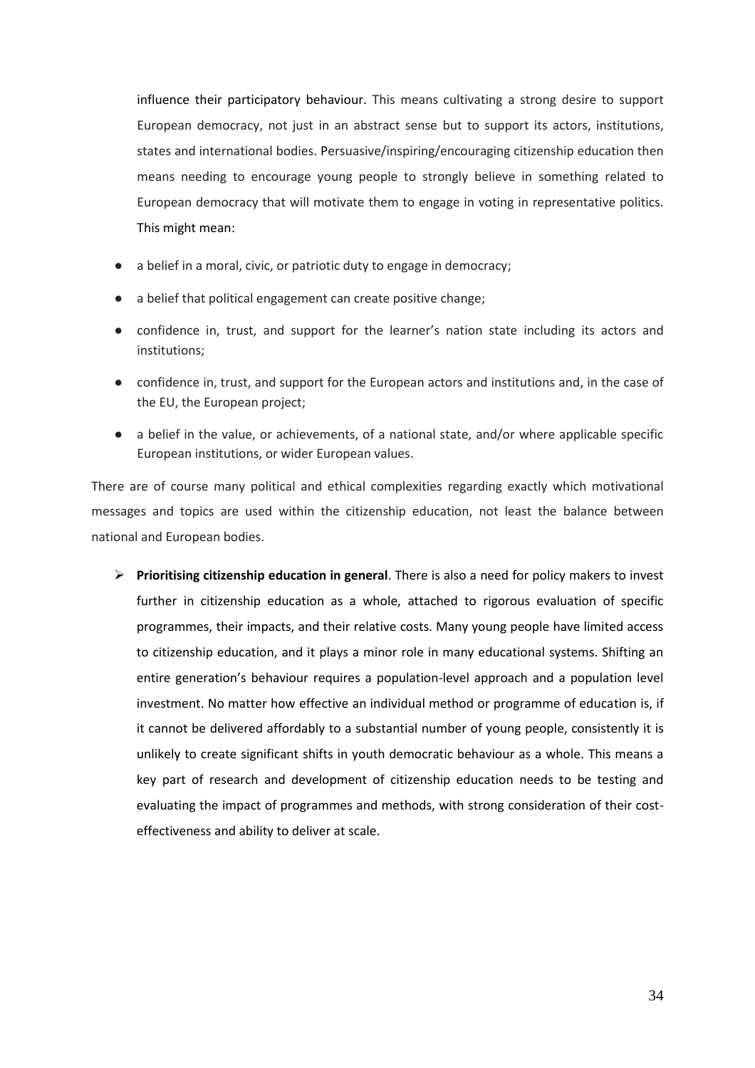influence their participatory behaviour. This means cultivating a strong desire to support European democracy, not just in an abstract sense but to support its actors, institutions, states and international bodies. Persuasive/inspiring/encouraging citizenship education then means needing to encourage young people to strongly believe in something related to European democracy that will motivate them to engage in voting in representative politics. This might mean:

- a belief in a moral, civic, or patriotic duty to engage in democracy;
- a belief that political engagement can create positive change;
- confidence in, trust, and support for the learner's nation state including its actors and institutions;
- confidence in, trust, and support for the European actors and institutions and, in the case of the EU, the European project;
- a belief in the value, or achievements, of a national state, and/or where applicable specific European institutions, or wider European values.

There are of course many political and ethical complexities regarding exactly which motivational messages and topics are used within the citizenship education, not least the balance between national and European bodies.

➢ **Prioritising citizenship education in general**. There is also a need for policy makers to invest further in citizenship education as a whole, attached to rigorous evaluation of specific programmes, their impacts, and their relative costs. Many young people have limited access to citizenship education, and it plays a minor role in many educational systems. Shifting an entire generation's behaviour requires a population-level approach and a population level investment. No matter how effective an individual method or programme of education is, if it cannot be delivered affordably to a substantial number of young people, consistently it is unlikely to create significant shifts in youth democratic behaviour as a whole. This means a key part of research and development of citizenship education needs to be testing and evaluating the impact of programmes and methods, with strong consideration of their costeffectiveness and ability to deliver at scale.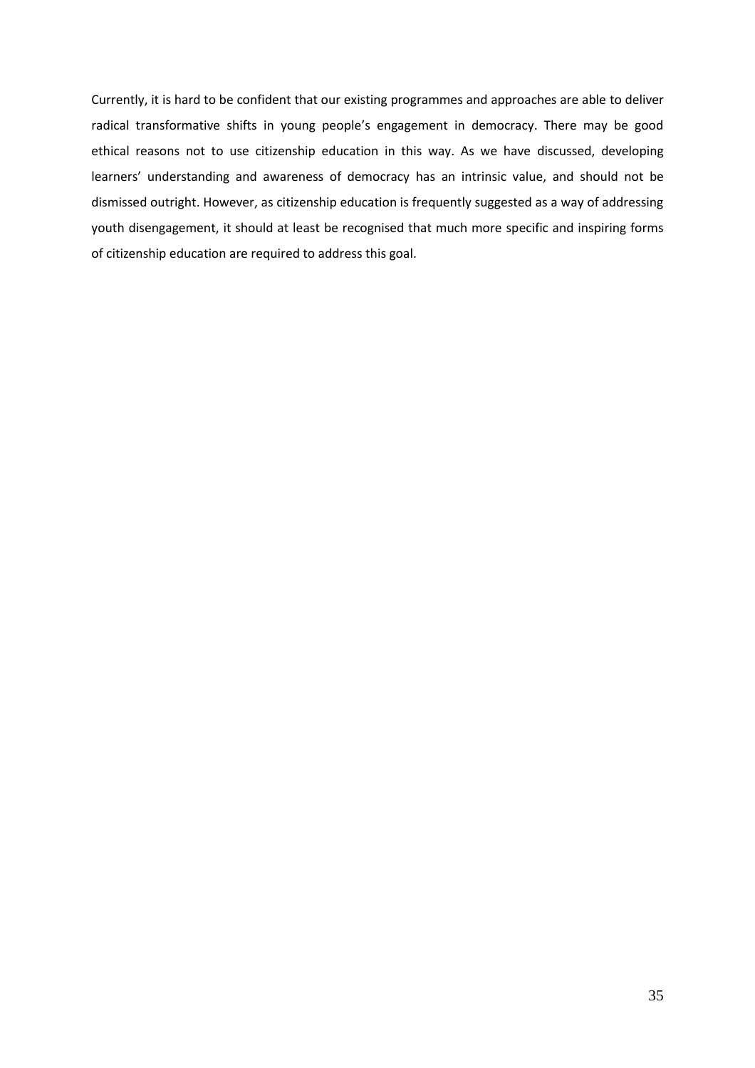Currently, it is hard to be confident that our existing programmes and approaches are able to deliver radical transformative shifts in young people's engagement in democracy. There may be good ethical reasons not to use citizenship education in this way. As we have discussed, developing learners' understanding and awareness of democracy has an intrinsic value, and should not be dismissed outright. However, as citizenship education is frequently suggested as a way of addressing youth disengagement, it should at least be recognised that much more specific and inspiring forms of citizenship education are required to address this goal.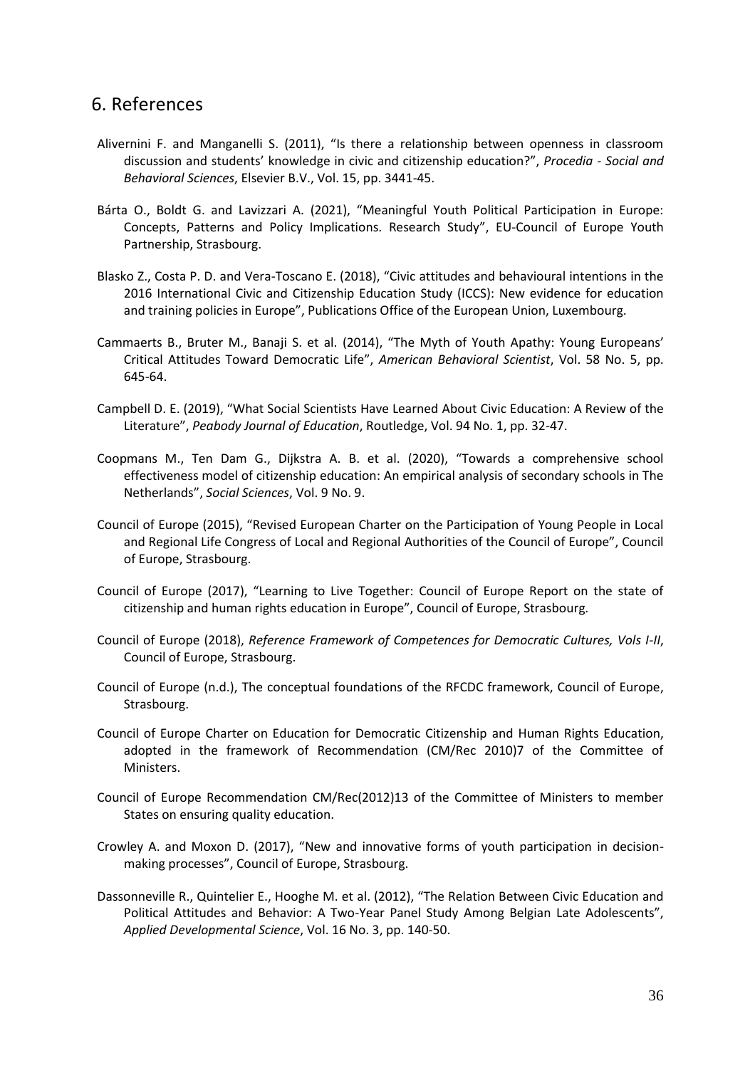## <span id="page-36-0"></span>6. References

- Alivernini F. and Manganelli S. (2011), "Is there a relationship between openness in classroom discussion and students' knowledge in civic and citizenship education?", *Procedia - Social and Behavioral Sciences*, Elsevier B.V., Vol. 15, pp. 3441-45.
- Bárta O., Boldt G. and Lavizzari A. (2021), "Meaningful Youth Political Participation in Europe: Concepts, Patterns and Policy Implications. Research Study", EU-Council of Europe Youth Partnership, Strasbourg.
- Blasko Z., Costa P. D. and Vera-Toscano E. (2018), "Civic attitudes and behavioural intentions in the 2016 International Civic and Citizenship Education Study (ICCS): New evidence for education and training policies in Europe", Publications Office of the European Union, Luxembourg.
- Cammaerts B., Bruter M., Banaji S. et al. (2014), "The Myth of Youth Apathy: Young Europeans' Critical Attitudes Toward Democratic Life", *American Behavioral Scientist*, Vol. 58 No. 5, pp. 645-64.
- Campbell D. E. (2019), "What Social Scientists Have Learned About Civic Education: A Review of the Literature", *Peabody Journal of Education*, Routledge, Vol. 94 No. 1, pp. 32-47.
- Coopmans M., Ten Dam G., Dijkstra A. B. et al. (2020), "Towards a comprehensive school effectiveness model of citizenship education: An empirical analysis of secondary schools in The Netherlands", *Social Sciences*, Vol. 9 No. 9.
- Council of Europe (2015), "Revised European Charter on the Participation of Young People in Local and Regional Life Congress of Local and Regional Authorities of the Council of Europe", Council of Europe, Strasbourg.
- Council of Europe (2017), "Learning to Live Together: Council of Europe Report on the state of citizenship and human rights education in Europe", Council of Europe, Strasbourg.
- Council of Europe (2018), *Reference Framework of Competences for Democratic Cultures, Vols I-II*, Council of Europe, Strasbourg.
- Council of Europe (n.d.), The conceptual foundations of the RFCDC framework, Council of Europe, Strasbourg.
- Council of Europe Charter on Education for Democratic Citizenship and Human Rights Education, adopted in the framework of Recommendation (CM/Rec 2010)7 of the Committee of Ministers.
- Council of Europe Recommendation CM/Rec(2012)13 of the Committee of Ministers to member States on ensuring quality education.
- Crowley A. and Moxon D. (2017), "New and innovative forms of youth participation in decisionmaking processes", Council of Europe, Strasbourg.
- Dassonneville R., Quintelier E., Hooghe M. et al. (2012), "The Relation Between Civic Education and Political Attitudes and Behavior: A Two-Year Panel Study Among Belgian Late Adolescents", *Applied Developmental Science*, Vol. 16 No. 3, pp. 140-50.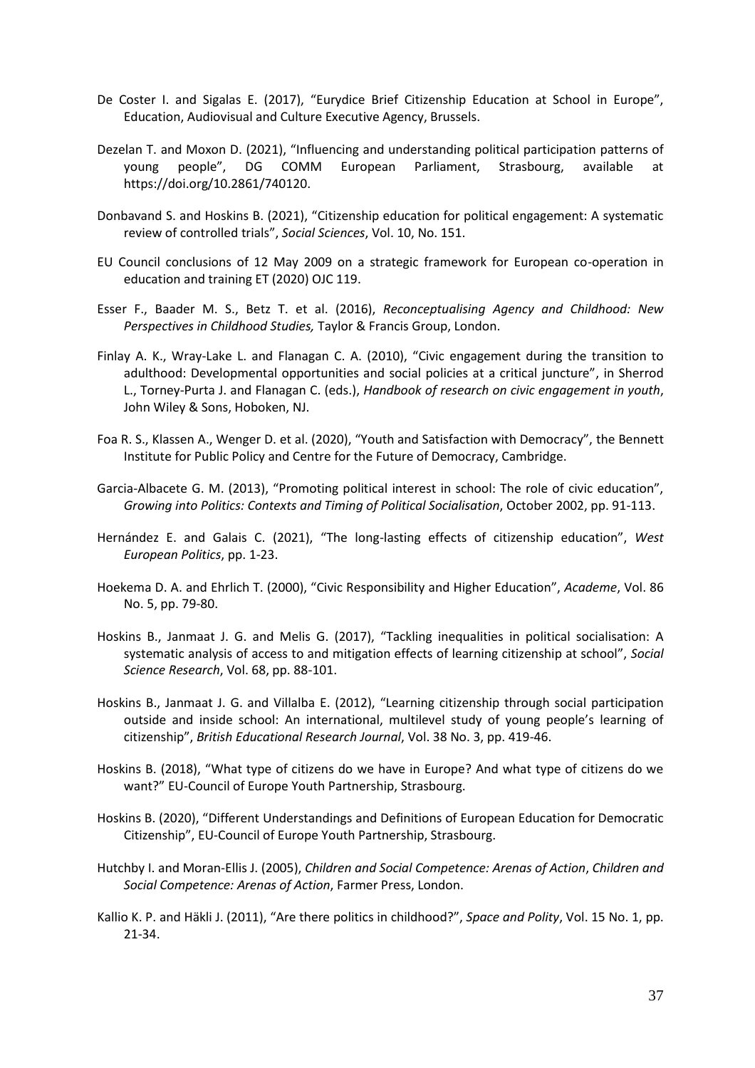- De Coster I. and Sigalas E. (2017), "Eurydice Brief Citizenship Education at School in Europe", Education, Audiovisual and Culture Executive Agency, Brussels.
- Dezelan T. and Moxon D. (2021), "Influencing and understanding political participation patterns of young people", DG COMM European Parliament, Strasbourg, available at https://doi.org/10.2861/740120.
- Donbavand S. and Hoskins B. (2021), "Citizenship education for political engagement: A systematic review of controlled trials", *Social Sciences*, Vol. 10, No. 151.
- EU Council conclusions of 12 May 2009 on a strategic framework for European co-operation in education and training ET (2020) OJC 119.
- Esser F., Baader M. S., Betz T. et al. (2016), *Reconceptualising Agency and Childhood: New Perspectives in Childhood Studies,* Taylor & Francis Group, London.
- Finlay A. K., Wray-Lake L. and Flanagan C. A. (2010), "Civic engagement during the transition to adulthood: Developmental opportunities and social policies at a critical juncture", in Sherrod L., Torney-Purta J. and Flanagan C. (eds.), *Handbook of research on civic engagement in youth*, John Wiley & Sons, Hoboken, NJ.
- Foa R. S., Klassen A., Wenger D. et al. (2020), "Youth and Satisfaction with Democracy", the Bennett Institute for Public Policy and Centre for the Future of Democracy, Cambridge.
- Garcia-Albacete G. M. (2013), "Promoting political interest in school: The role of civic education", *Growing into Politics: Contexts and Timing of Political Socialisation*, October 2002, pp. 91-113.
- Hernández E. and Galais C. (2021), "The long-lasting effects of citizenship education", *West European Politics*, pp. 1-23.
- Hoekema D. A. and Ehrlich T. (2000), "Civic Responsibility and Higher Education", *Academe*, Vol. 86 No. 5, pp. 79-80.
- Hoskins B., Janmaat J. G. and Melis G. (2017), "Tackling inequalities in political socialisation: A systematic analysis of access to and mitigation effects of learning citizenship at school", *Social Science Research*, Vol. 68, pp. 88-101.
- Hoskins B., Janmaat J. G. and Villalba E. (2012), "Learning citizenship through social participation outside and inside school: An international, multilevel study of young people's learning of citizenship", *British Educational Research Journal*, Vol. 38 No. 3, pp. 419-46.
- Hoskins B. (2018), "What type of citizens do we have in Europe? And what type of citizens do we want?" EU-Council of Europe Youth Partnership, Strasbourg.
- Hoskins B. (2020), "Different Understandings and Definitions of European Education for Democratic Citizenship", EU-Council of Europe Youth Partnership, Strasbourg.
- Hutchby I. and Moran-Ellis J. (2005), *Children and Social Competence: Arenas of Action*, *Children and Social Competence: Arenas of Action*, Farmer Press, London.
- Kallio K. P. and Häkli J. (2011), "Are there politics in childhood?", *Space and Polity*, Vol. 15 No. 1, pp. 21-34.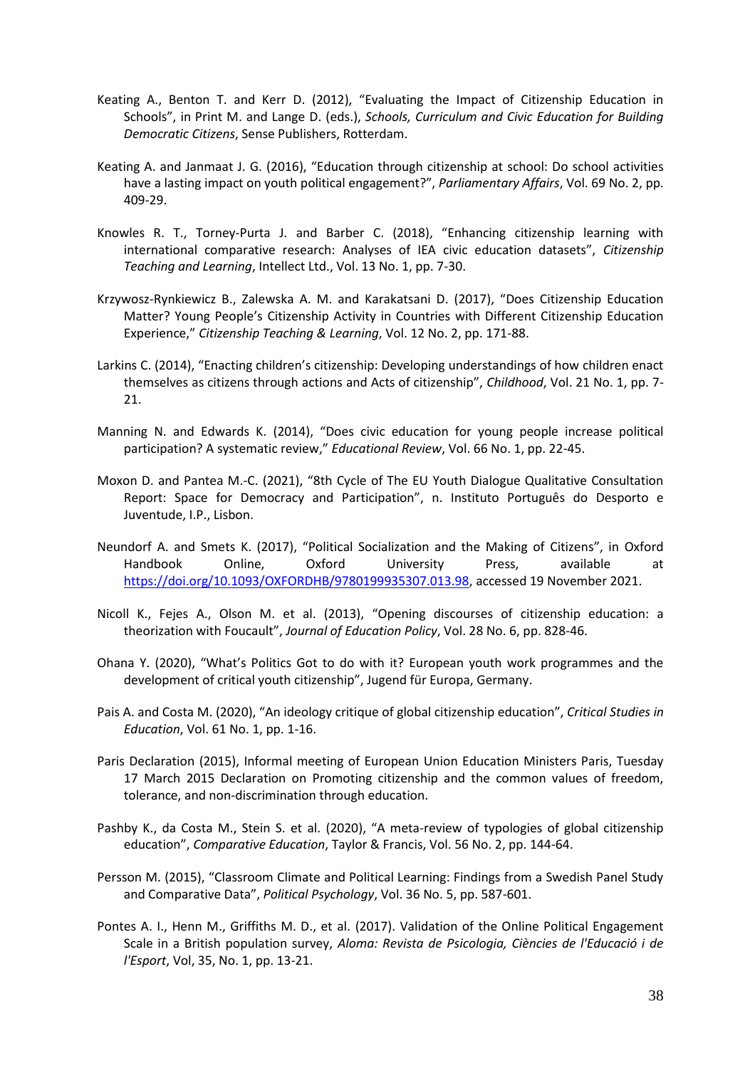- Keating A., Benton T. and Kerr D. (2012), "Evaluating the Impact of Citizenship Education in Schools", in Print M. and Lange D. (eds.), *Schools, Curriculum and Civic Education for Building Democratic Citizens*, Sense Publishers, Rotterdam.
- Keating A. and Janmaat J. G. (2016), "Education through citizenship at school: Do school activities have a lasting impact on youth political engagement?", *Parliamentary Affairs*, Vol. 69 No. 2, pp. 409-29.
- Knowles R. T., Torney-Purta J. and Barber C. (2018), "Enhancing citizenship learning with international comparative research: Analyses of IEA civic education datasets", *Citizenship Teaching and Learning*, Intellect Ltd., Vol. 13 No. 1, pp. 7-30.
- Krzywosz-Rynkiewicz B., Zalewska A. M. and Karakatsani D. (2017), "Does Citizenship Education Matter? Young People's Citizenship Activity in Countries with Different Citizenship Education Experience," *Citizenship Teaching & Learning*, Vol. 12 No. 2, pp. 171-88.
- Larkins C. (2014), "Enacting children's citizenship: Developing understandings of how children enact themselves as citizens through actions and Acts of citizenship", *Childhood*, Vol. 21 No. 1, pp. 7- 21.
- Manning N. and Edwards K. (2014), "Does civic education for young people increase political participation? A systematic review," *Educational Review*, Vol. 66 No. 1, pp. 22-45.
- Moxon D. and Pantea M.-C. (2021), "8th Cycle of The EU Youth Dialogue Qualitative Consultation Report: Space for Democracy and Participation", n. Instituto Português do Desporto e Juventude, I.P., Lisbon.
- Neundorf A. and Smets K. (2017), "Political Socialization and the Making of Citizens", in Oxford Handbook Online, Oxford University Press, available at [https://doi.org/10.1093/OXFORDHB/9780199935307.013.98,](https://doi.org/10.1093/OXFORDHB/9780199935307.013.98) accessed 19 November 2021.
- Nicoll K., Fejes A., Olson M. et al. (2013), "Opening discourses of citizenship education: a theorization with Foucault", *Journal of Education Policy*, Vol. 28 No. 6, pp. 828-46.
- Ohana Y. (2020), "What's Politics Got to do with it? European youth work programmes and the development of critical youth citizenship", Jugend für Europa, Germany.
- Pais A. and Costa M. (2020), "An ideology critique of global citizenship education", *Critical Studies in Education*, Vol. 61 No. 1, pp. 1-16.
- Paris Declaration (2015), Informal meeting of European Union Education Ministers Paris, Tuesday 17 March 2015 Declaration on Promoting citizenship and the common values of freedom, tolerance, and non-discrimination through education.
- Pashby K., da Costa M., Stein S. et al. (2020), "A meta-review of typologies of global citizenship education", *Comparative Education*, Taylor & Francis, Vol. 56 No. 2, pp. 144-64.
- Persson M. (2015), "Classroom Climate and Political Learning: Findings from a Swedish Panel Study and Comparative Data", *Political Psychology*, Vol. 36 No. 5, pp. 587-601.
- Pontes A. I., Henn M., Griffiths M. D., et al. (2017). Validation of the Online Political Engagement Scale in a British population survey, *Aloma: Revista de Psicologia, Ciències de l'Educació i de l'Esport*, Vol, 35, No. 1, pp. 13-21.